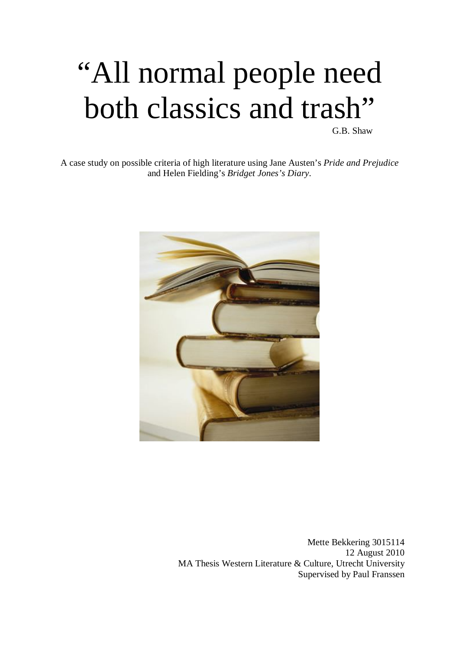# "All normal people need both classics and trash"

G.B. Shaw

A case study on possible criteria of high literature using Jane Austen's *Pride and Prejudice* and Helen Fielding's *Bridget Jones's Diary*.



Mette Bekkering 3015114 12 August 2010 MA Thesis Western Literature & Culture, Utrecht University Supervised by Paul Franssen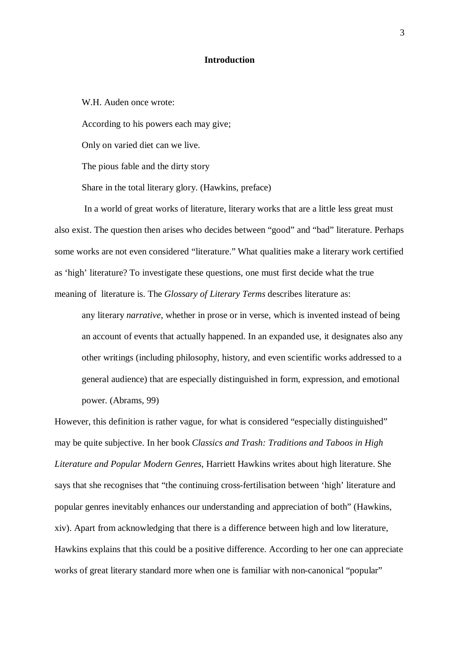# **Introduction**

W.H. Auden once wrote:

According to his powers each may give;

Only on varied diet can we live.

The pious fable and the dirty story

Share in the total literary glory. (Hawkins, preface)

 In a world of great works of literature, literary works that are a little less great must also exist. The question then arises who decides between "good" and "bad" literature. Perhaps some works are not even considered "literature." What qualities make a literary work certified as 'high' literature? To investigate these questions, one must first decide what the true meaning of literature is. The *Glossary of Literary Terms* describes literature as:

any literary *narrative*, whether in prose or in verse, which is invented instead of being an account of events that actually happened. In an expanded use, it designates also any other writings (including philosophy, history, and even scientific works addressed to a general audience) that are especially distinguished in form, expression, and emotional power. (Abrams, 99)

However, this definition is rather vague, for what is considered "especially distinguished" may be quite subjective. In her book *Classics and Trash: Traditions and Taboos in High Literature and Popular Modern Genres*, Harriett Hawkins writes about high literature. She says that she recognises that "the continuing cross-fertilisation between 'high' literature and popular genres inevitably enhances our understanding and appreciation of both" (Hawkins, xiv). Apart from acknowledging that there is a difference between high and low literature, Hawkins explains that this could be a positive difference. According to her one can appreciate works of great literary standard more when one is familiar with non-canonical "popular"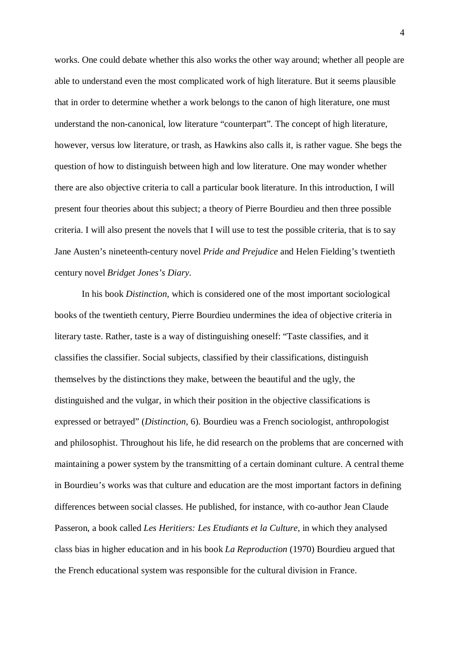works. One could debate whether this also works the other way around; whether all people are able to understand even the most complicated work of high literature. But it seems plausible that in order to determine whether a work belongs to the canon of high literature, one must understand the non-canonical, low literature "counterpart". The concept of high literature, however, versus low literature, or trash, as Hawkins also calls it, is rather vague. She begs the question of how to distinguish between high and low literature. One may wonder whether there are also objective criteria to call a particular book literature. In this introduction, I will present four theories about this subject; a theory of Pierre Bourdieu and then three possible criteria. I will also present the novels that I will use to test the possible criteria, that is to say Jane Austen's nineteenth-century novel *Pride and Prejudice* and Helen Fielding's twentieth century novel *Bridget Jones's Diary*.

In his book *Distinction,* which is considered one of the most important sociological books of the twentieth century, Pierre Bourdieu undermines the idea of objective criteria in literary taste. Rather, taste is a way of distinguishing oneself: "Taste classifies, and it classifies the classifier. Social subjects, classified by their classifications, distinguish themselves by the distinctions they make, between the beautiful and the ugly, the distinguished and the vulgar, in which their position in the objective classifications is expressed or betrayed" (*Distinction*, 6). Bourdieu was a French sociologist, anthropologist and philosophist. Throughout his life, he did research on the problems that are concerned with maintaining a power system by the transmitting of a certain dominant culture. A central theme in Bourdieu's works was that culture and education are the most important factors in defining differences between social classes. He published, for instance, with co-author Jean Claude Passeron, a book called *Les Heritiers: Les Etudiants et la Culture*, in which they analysed class bias in higher education and in his book *La Reproduction* (1970) Bourdieu argued that the French educational system was responsible for the cultural division in France.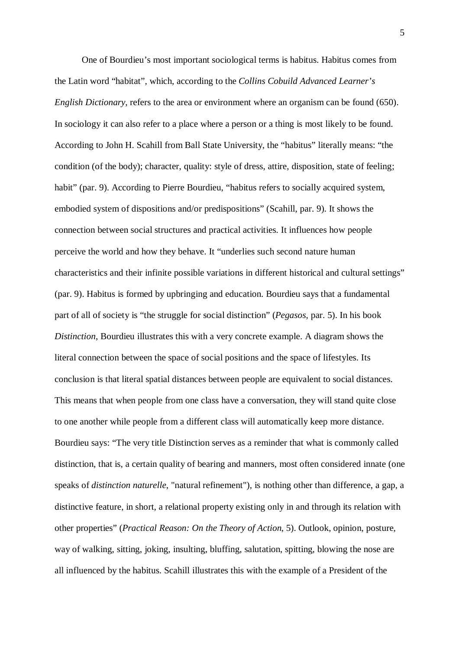One of Bourdieu's most important sociological terms is habitus. Habitus comes from the Latin word "habitat", which, according to the *Collins Cobuild Advanced Learner's English Dictionary*, refers to the area or environment where an organism can be found (650). In sociology it can also refer to a place where a person or a thing is most likely to be found. According to John H. Scahill from Ball State University, the "habitus" literally means: "the condition (of the body); character, quality: style of dress, attire, disposition, state of feeling; habit" (par. 9). According to Pierre Bourdieu, "habitus refers to socially acquired system, embodied system of dispositions and/or predispositions" (Scahill, par. 9). It shows the connection between social structures and practical activities. It influences how people perceive the world and how they behave. It "underlies such second nature human characteristics and their infinite possible variations in different historical and cultural settings" (par. 9). Habitus is formed by upbringing and education. Bourdieu says that a fundamental part of all of society is "the struggle for social distinction" (*Pegasos*, par. 5). In his book *Distinction*, Bourdieu illustrates this with a very concrete example. A diagram shows the literal connection between the space of social positions and the space of lifestyles. Its conclusion is that literal spatial distances between people are equivalent to social distances. This means that when people from one class have a conversation, they will stand quite close to one another while people from a different class will automatically keep more distance. Bourdieu says: "The very title Distinction serves as a reminder that what is commonly called distinction, that is, a certain quality of bearing and manners, most often considered innate (one speaks of *distinction naturelle*, "natural refinement"), is nothing other than difference, a gap, a distinctive feature, in short, a relational property existing only in and through its relation with other properties" (*Practical Reason: On the Theory of Action*, 5). Outlook, opinion, posture, way of walking, sitting, joking, insulting, bluffing, salutation, spitting, blowing the nose are all influenced by the habitus. Scahill illustrates this with the example of a President of the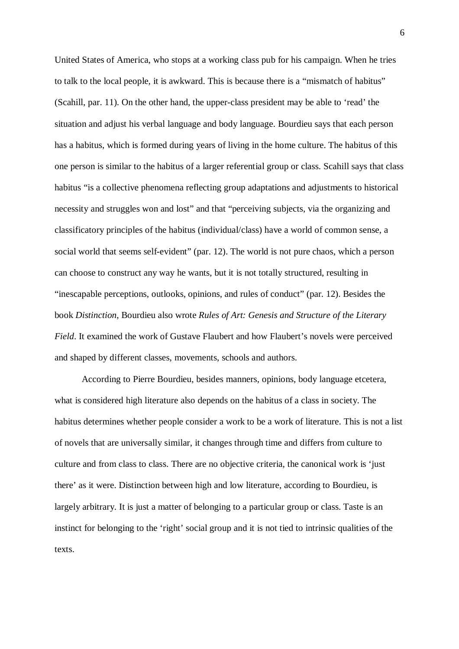United States of America, who stops at a working class pub for his campaign. When he tries to talk to the local people, it is awkward. This is because there is a "mismatch of habitus" (Scahill, par. 11). On the other hand, the upper-class president may be able to 'read' the situation and adjust his verbal language and body language. Bourdieu says that each person has a habitus, which is formed during years of living in the home culture. The habitus of this one person is similar to the habitus of a larger referential group or class. Scahill says that class habitus "is a collective phenomena reflecting group adaptations and adjustments to historical necessity and struggles won and lost" and that "perceiving subjects, via the organizing and classificatory principles of the habitus (individual/class) have a world of common sense, a social world that seems self-evident" (par. 12). The world is not pure chaos, which a person can choose to construct any way he wants, but it is not totally structured, resulting in "inescapable perceptions, outlooks, opinions, and rules of conduct" (par. 12). Besides the book *Distinction*, Bourdieu also wrote *Rules of Art: Genesis and Structure of the Literary Field*. It examined the work of Gustave Flaubert and how Flaubert's novels were perceived and shaped by different classes, movements, schools and authors.

According to Pierre Bourdieu, besides manners, opinions, body language etcetera, what is considered high literature also depends on the habitus of a class in society. The habitus determines whether people consider a work to be a work of literature. This is not a list of novels that are universally similar, it changes through time and differs from culture to culture and from class to class. There are no objective criteria, the canonical work is 'just there' as it were. Distinction between high and low literature, according to Bourdieu, is largely arbitrary. It is just a matter of belonging to a particular group or class. Taste is an instinct for belonging to the 'right' social group and it is not tied to intrinsic qualities of the texts.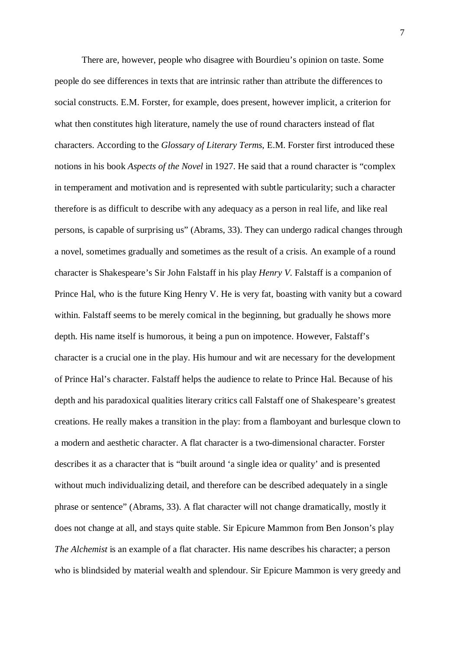There are, however, people who disagree with Bourdieu's opinion on taste. Some people do see differences in texts that are intrinsic rather than attribute the differences to social constructs. E.M. Forster, for example, does present, however implicit, a criterion for what then constitutes high literature, namely the use of round characters instead of flat characters. According to the *Glossary of Literary Terms*, E.M. Forster first introduced these notions in his book *Aspects of the Novel* in 1927. He said that a round character is "complex in temperament and motivation and is represented with subtle particularity; such a character therefore is as difficult to describe with any adequacy as a person in real life, and like real persons, is capable of surprising us" (Abrams, 33). They can undergo radical changes through a novel, sometimes gradually and sometimes as the result of a crisis. An example of a round character is Shakespeare's Sir John Falstaff in his play *Henry V*. Falstaff is a companion of Prince Hal, who is the future King Henry V. He is very fat, boasting with vanity but a coward within. Falstaff seems to be merely comical in the beginning, but gradually he shows more depth. His name itself is humorous, it being a pun on impotence. However, Falstaff's character is a crucial one in the play. His humour and wit are necessary for the development of Prince Hal's character. Falstaff helps the audience to relate to Prince Hal. Because of his depth and his paradoxical qualities literary critics call Falstaff one of Shakespeare's greatest creations. He really makes a transition in the play: from a flamboyant and burlesque clown to a modern and aesthetic character. A flat character is a two-dimensional character. Forster describes it as a character that is "built around 'a single idea or quality' and is presented without much individualizing detail, and therefore can be described adequately in a single phrase or sentence" (Abrams, 33). A flat character will not change dramatically, mostly it does not change at all, and stays quite stable. Sir Epicure Mammon from Ben Jonson's play *The Alchemist* is an example of a flat character. His name describes his character; a person who is blindsided by material wealth and splendour. Sir Epicure Mammon is very greedy and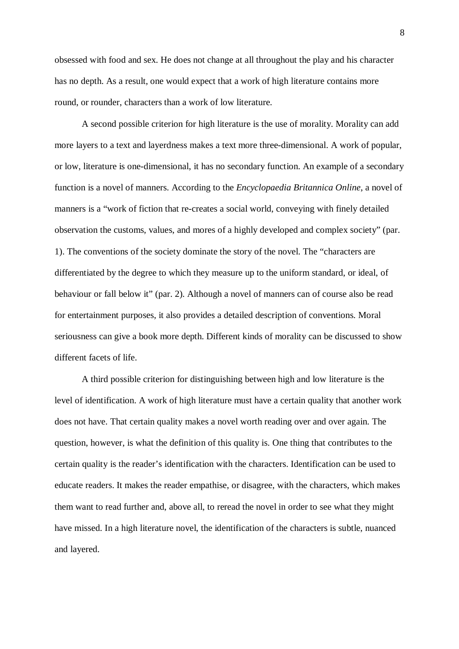obsessed with food and sex. He does not change at all throughout the play and his character has no depth. As a result, one would expect that a work of high literature contains more round, or rounder, characters than a work of low literature.

A second possible criterion for high literature is the use of morality. Morality can add more layers to a text and layerdness makes a text more three-dimensional. A work of popular, or low, literature is one-dimensional, it has no secondary function. An example of a secondary function is a novel of manners. According to the *Encyclopaedia Britannica Online*, a novel of manners is a "work of fiction that re-creates a social world, conveying with finely detailed observation the customs, values, and mores of a highly developed and complex society" (par. 1). The conventions of the society dominate the story of the novel. The "characters are differentiated by the degree to which they measure up to the uniform standard, or ideal, of behaviour or fall below it" (par. 2). Although a novel of manners can of course also be read for entertainment purposes, it also provides a detailed description of conventions. Moral seriousness can give a book more depth. Different kinds of morality can be discussed to show different facets of life.

A third possible criterion for distinguishing between high and low literature is the level of identification. A work of high literature must have a certain quality that another work does not have. That certain quality makes a novel worth reading over and over again. The question, however, is what the definition of this quality is. One thing that contributes to the certain quality is the reader's identification with the characters. Identification can be used to educate readers. It makes the reader empathise, or disagree, with the characters, which makes them want to read further and, above all, to reread the novel in order to see what they might have missed. In a high literature novel, the identification of the characters is subtle, nuanced and layered.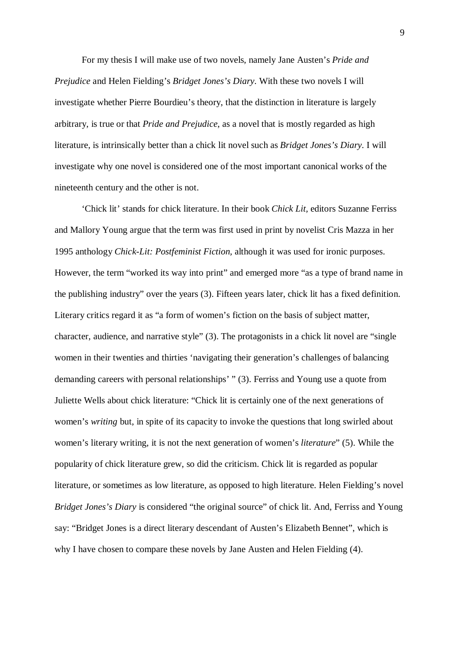For my thesis I will make use of two novels, namely Jane Austen's *Pride and Prejudice* and Helen Fielding's *Bridget Jones's Diary*. With these two novels I will investigate whether Pierre Bourdieu's theory, that the distinction in literature is largely arbitrary, is true or that *Pride and Prejudice*, as a novel that is mostly regarded as high literature, is intrinsically better than a chick lit novel such as *Bridget Jones's Diary*. I will investigate why one novel is considered one of the most important canonical works of the nineteenth century and the other is not.

'Chick lit' stands for chick literature. In their book *Chick Lit,* editors Suzanne Ferriss and Mallory Young argue that the term was first used in print by novelist Cris Mazza in her 1995 anthology *Chick-Lit: Postfeminist Fiction,* although it was used for ironic purposes. However, the term "worked its way into print" and emerged more "as a type of brand name in the publishing industry" over the years (3). Fifteen years later, chick lit has a fixed definition. Literary critics regard it as "a form of women's fiction on the basis of subject matter, character, audience, and narrative style" (3). The protagonists in a chick lit novel are "single women in their twenties and thirties 'navigating their generation's challenges of balancing demanding careers with personal relationships' " (3). Ferriss and Young use a quote from Juliette Wells about chick literature: "Chick lit is certainly one of the next generations of women's *writing* but, in spite of its capacity to invoke the questions that long swirled about women's literary writing, it is not the next generation of women's *literature*" (5). While the popularity of chick literature grew, so did the criticism. Chick lit is regarded as popular literature, or sometimes as low literature, as opposed to high literature. Helen Fielding's novel *Bridget Jones's Diary* is considered "the original source" of chick lit. And, Ferriss and Young say: "Bridget Jones is a direct literary descendant of Austen's Elizabeth Bennet", which is why I have chosen to compare these novels by Jane Austen and Helen Fielding (4).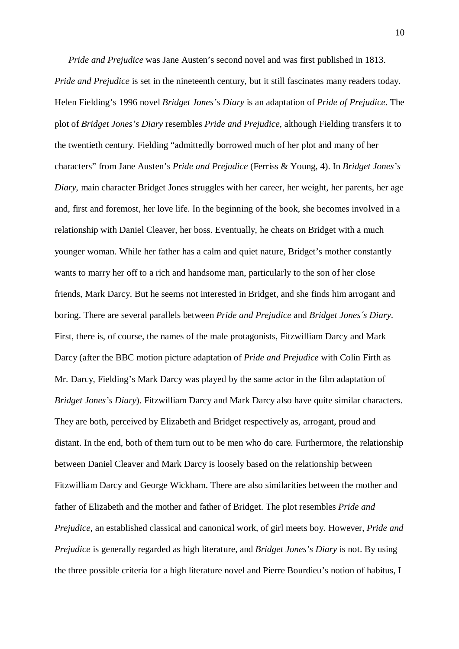*Pride and Prejudice* was Jane Austen's second novel and was first published in 1813. *Pride and Prejudice* is set in the nineteenth century, but it still fascinates many readers today. Helen Fielding's 1996 novel *Bridget Jones's Diary* is an adaptation of *Pride of Prejudice*. The plot of *Bridget Jones's Diary* resembles *Pride and Prejudice*, although Fielding transfers it to the twentieth century. Fielding "admittedly borrowed much of her plot and many of her characters" from Jane Austen's *Pride and Prejudice* (Ferriss & Young, 4). In *Bridget Jones's Diary*, main character Bridget Jones struggles with her career, her weight, her parents, her age and, first and foremost, her love life. In the beginning of the book, she becomes involved in a relationship with Daniel Cleaver, her boss. Eventually, he cheats on Bridget with a much younger woman. While her father has a calm and quiet nature, Bridget's mother constantly wants to marry her off to a rich and handsome man, particularly to the son of her close friends, Mark Darcy. But he seems not interested in Bridget, and she finds him arrogant and boring. There are several parallels between *Pride and Prejudice* and *Bridget Jones´s Diary*. First, there is, of course, the names of the male protagonists, Fitzwilliam Darcy and Mark Darcy (after the BBC motion picture adaptation of *Pride and Prejudice* with Colin Firth as Mr. Darcy*,* Fielding's Mark Darcy was played by the same actor in the film adaptation of *Bridget Jones's Diary*). Fitzwilliam Darcy and Mark Darcy also have quite similar characters. They are both, perceived by Elizabeth and Bridget respectively as, arrogant, proud and distant. In the end, both of them turn out to be men who do care. Furthermore, the relationship between Daniel Cleaver and Mark Darcy is loosely based on the relationship between Fitzwilliam Darcy and George Wickham. There are also similarities between the mother and father of Elizabeth and the mother and father of Bridget. The plot resembles *Pride and Prejudice,* an established classical and canonical work, of girl meets boy. However, *Pride and Prejudice* is generally regarded as high literature, and *Bridget Jones's Diary* is not. By using the three possible criteria for a high literature novel and Pierre Bourdieu's notion of habitus, I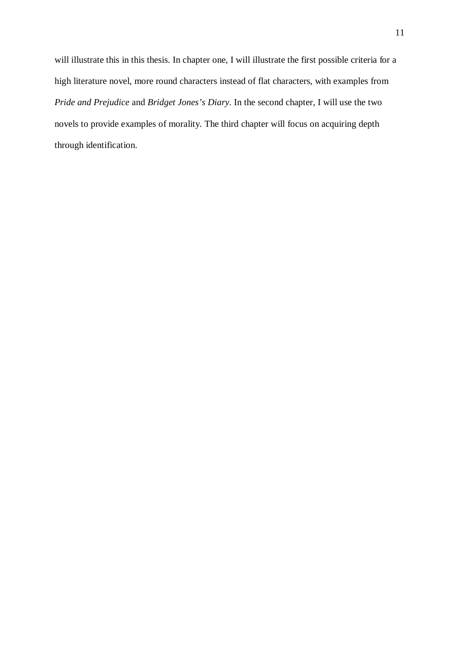will illustrate this in this thesis. In chapter one, I will illustrate the first possible criteria for a high literature novel, more round characters instead of flat characters, with examples from *Pride and Prejudice* and *Bridget Jones's Diary*. In the second chapter, I will use the two novels to provide examples of morality. The third chapter will focus on acquiring depth through identification.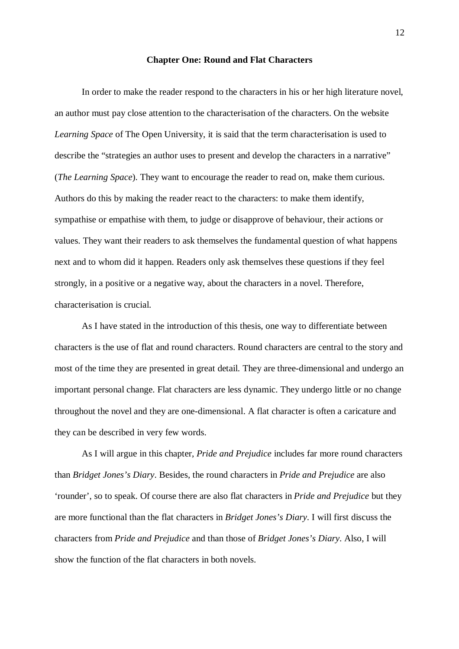## **Chapter One: Round and Flat Characters**

In order to make the reader respond to the characters in his or her high literature novel, an author must pay close attention to the characterisation of the characters. On the website *Learning Space* of The Open University, it is said that the term characterisation is used to describe the "strategies an author uses to present and develop the characters in a narrative" (*The Learning Space*). They want to encourage the reader to read on, make them curious. Authors do this by making the reader react to the characters: to make them identify, sympathise or empathise with them, to judge or disapprove of behaviour, their actions or values. They want their readers to ask themselves the fundamental question of what happens next and to whom did it happen. Readers only ask themselves these questions if they feel strongly, in a positive or a negative way, about the characters in a novel. Therefore, characterisation is crucial.

As I have stated in the introduction of this thesis, one way to differentiate between characters is the use of flat and round characters. Round characters are central to the story and most of the time they are presented in great detail. They are three-dimensional and undergo an important personal change. Flat characters are less dynamic. They undergo little or no change throughout the novel and they are one-dimensional. A flat character is often a caricature and they can be described in very few words.

As I will argue in this chapter, *Pride and Prejudice* includes far more round characters than *Bridget Jones's Diary*. Besides, the round characters in *Pride and Prejudice* are also 'rounder', so to speak. Of course there are also flat characters in *Pride and Prejudice* but they are more functional than the flat characters in *Bridget Jones's Diary*. I will first discuss the characters from *Pride and Prejudice* and than those of *Bridget Jones's Diary*. Also, I will show the function of the flat characters in both novels.

12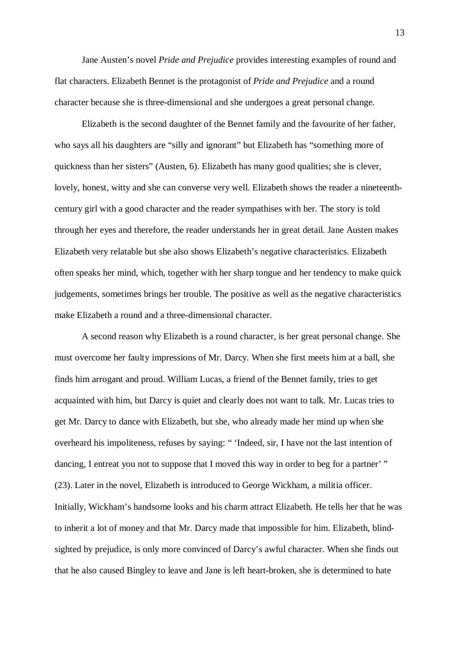Jane Austen's novel *Pride and Prejudice* provides interesting examples of round and flat characters. Elizabeth Bennet is the protagonist of *Pride and Prejudice* and a round character because she is three-dimensional and she undergoes a great personal change.

Elizabeth is the second daughter of the Bennet family and the favourite of her father, who says all his daughters are "silly and ignorant" but Elizabeth has "something more of quickness than her sisters" (Austen, 6). Elizabeth has many good qualities; she is clever, lovely, honest, witty and she can converse very well. Elizabeth shows the reader a nineteenthcentury girl with a good character and the reader sympathises with her. The story is told through her eyes and therefore, the reader understands her in great detail. Jane Austen makes Elizabeth very relatable but she also shows Elizabeth's negative characteristics. Elizabeth often speaks her mind, which, together with her sharp tongue and her tendency to make quick judgements, sometimes brings her trouble. The positive as well as the negative characteristics make Elizabeth a round and a three-dimensional character.

A second reason why Elizabeth is a round character, is her great personal change. She must overcome her faulty impressions of Mr. Darcy. When she first meets him at a ball, she finds him arrogant and proud. William Lucas, a friend of the Bennet family, tries to get acquainted with him, but Darcy is quiet and clearly does not want to talk. Mr. Lucas tries to get Mr. Darcy to dance with Elizabeth, but she, who already made her mind up when she overheard his impoliteness, refuses by saying: " 'Indeed, sir, I have not the last intention of dancing, I entreat you not to suppose that I moved this way in order to beg for a partner' " (23). Later in the novel, Elizabeth is introduced to George Wickham, a militia officer. Initially, Wickham's handsome looks and his charm attract Elizabeth. He tells her that he was to inherit a lot of money and that Mr. Darcy made that impossible for him. Elizabeth, blindsighted by prejudice, is only more convinced of Darcy's awful character. When she finds out that he also caused Bingley to leave and Jane is left heart-broken, she is determined to hate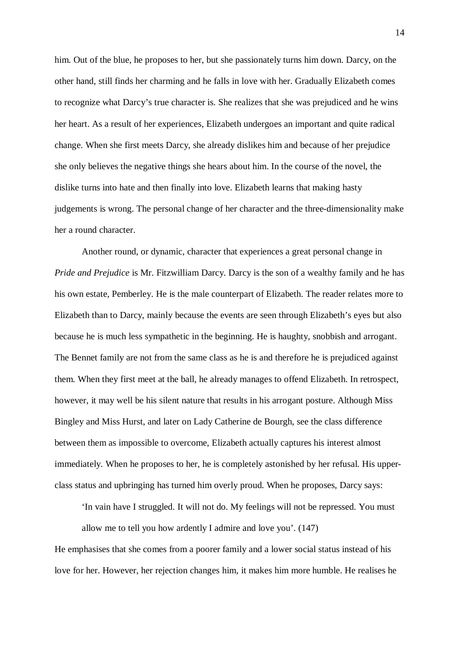him. Out of the blue, he proposes to her, but she passionately turns him down. Darcy, on the other hand, still finds her charming and he falls in love with her. Gradually Elizabeth comes to recognize what Darcy's true character is. She realizes that she was prejudiced and he wins her heart. As a result of her experiences, Elizabeth undergoes an important and quite radical change. When she first meets Darcy, she already dislikes him and because of her prejudice she only believes the negative things she hears about him. In the course of the novel, the dislike turns into hate and then finally into love. Elizabeth learns that making hasty judgements is wrong. The personal change of her character and the three-dimensionality make her a round character.

Another round, or dynamic, character that experiences a great personal change in *Pride and Prejudice* is Mr. Fitzwilliam Darcy. Darcy is the son of a wealthy family and he has his own estate, Pemberley. He is the male counterpart of Elizabeth. The reader relates more to Elizabeth than to Darcy, mainly because the events are seen through Elizabeth's eyes but also because he is much less sympathetic in the beginning. He is haughty, snobbish and arrogant. The Bennet family are not from the same class as he is and therefore he is prejudiced against them. When they first meet at the ball, he already manages to offend Elizabeth. In retrospect, however, it may well be his silent nature that results in his arrogant posture. Although Miss Bingley and Miss Hurst, and later on Lady Catherine de Bourgh, see the class difference between them as impossible to overcome, Elizabeth actually captures his interest almost immediately. When he proposes to her, he is completely astonished by her refusal. His upperclass status and upbringing has turned him overly proud. When he proposes, Darcy says:

'In vain have I struggled. It will not do. My feelings will not be repressed. You must allow me to tell you how ardently I admire and love you'. (147)

He emphasises that she comes from a poorer family and a lower social status instead of his love for her. However, her rejection changes him, it makes him more humble. He realises he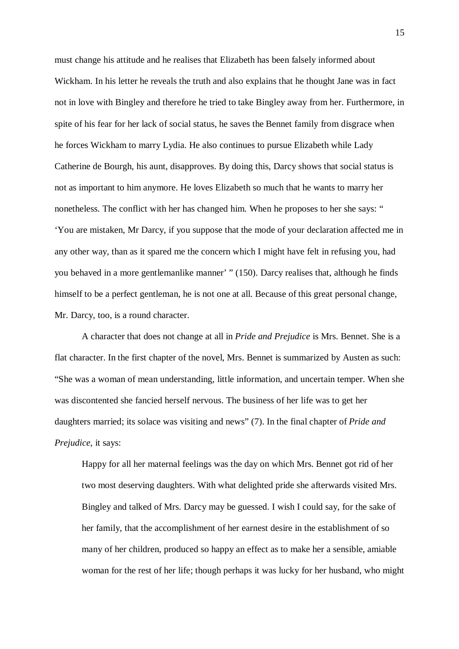must change his attitude and he realises that Elizabeth has been falsely informed about Wickham. In his letter he reveals the truth and also explains that he thought Jane was in fact not in love with Bingley and therefore he tried to take Bingley away from her. Furthermore, in spite of his fear for her lack of social status, he saves the Bennet family from disgrace when he forces Wickham to marry Lydia. He also continues to pursue Elizabeth while Lady Catherine de Bourgh, his aunt, disapproves. By doing this, Darcy shows that social status is not as important to him anymore. He loves Elizabeth so much that he wants to marry her nonetheless. The conflict with her has changed him. When he proposes to her she says: " 'You are mistaken, Mr Darcy, if you suppose that the mode of your declaration affected me in any other way, than as it spared me the concern which I might have felt in refusing you, had you behaved in a more gentlemanlike manner' " (150). Darcy realises that, although he finds himself to be a perfect gentleman, he is not one at all. Because of this great personal change, Mr. Darcy, too, is a round character.

A character that does not change at all in *Pride and Prejudice* is Mrs. Bennet. She is a flat character. In the first chapter of the novel, Mrs. Bennet is summarized by Austen as such: "She was a woman of mean understanding, little information, and uncertain temper. When she was discontented she fancied herself nervous. The business of her life was to get her daughters married; its solace was visiting and news" (7). In the final chapter of *Pride and Prejudice*, it says:

Happy for all her maternal feelings was the day on which Mrs. Bennet got rid of her two most deserving daughters. With what delighted pride she afterwards visited Mrs. Bingley and talked of Mrs. Darcy may be guessed. I wish I could say, for the sake of her family, that the accomplishment of her earnest desire in the establishment of so many of her children, produced so happy an effect as to make her a sensible, amiable woman for the rest of her life; though perhaps it was lucky for her husband, who might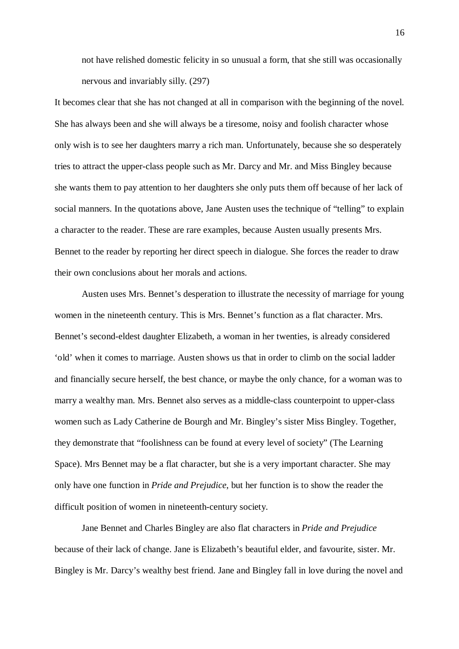not have relished domestic felicity in so unusual a form, that she still was occasionally nervous and invariably silly. (297)

It becomes clear that she has not changed at all in comparison with the beginning of the novel. She has always been and she will always be a tiresome, noisy and foolish character whose only wish is to see her daughters marry a rich man. Unfortunately, because she so desperately tries to attract the upper-class people such as Mr. Darcy and Mr. and Miss Bingley because she wants them to pay attention to her daughters she only puts them off because of her lack of social manners. In the quotations above, Jane Austen uses the technique of "telling" to explain a character to the reader. These are rare examples, because Austen usually presents Mrs. Bennet to the reader by reporting her direct speech in dialogue. She forces the reader to draw their own conclusions about her morals and actions.

Austen uses Mrs. Bennet's desperation to illustrate the necessity of marriage for young women in the nineteenth century. This is Mrs. Bennet's function as a flat character. Mrs. Bennet's second-eldest daughter Elizabeth, a woman in her twenties, is already considered 'old' when it comes to marriage. Austen shows us that in order to climb on the social ladder and financially secure herself, the best chance, or maybe the only chance, for a woman was to marry a wealthy man. Mrs. Bennet also serves as a middle-class counterpoint to upper-class women such as Lady Catherine de Bourgh and Mr. Bingley's sister Miss Bingley. Together, they demonstrate that "foolishness can be found at every level of society" (The Learning Space). Mrs Bennet may be a flat character, but she is a very important character. She may only have one function in *Pride and Prejudice*, but her function is to show the reader the difficult position of women in nineteenth-century society.

Jane Bennet and Charles Bingley are also flat characters in *Pride and Prejudice* because of their lack of change. Jane is Elizabeth's beautiful elder, and favourite, sister. Mr. Bingley is Mr. Darcy's wealthy best friend. Jane and Bingley fall in love during the novel and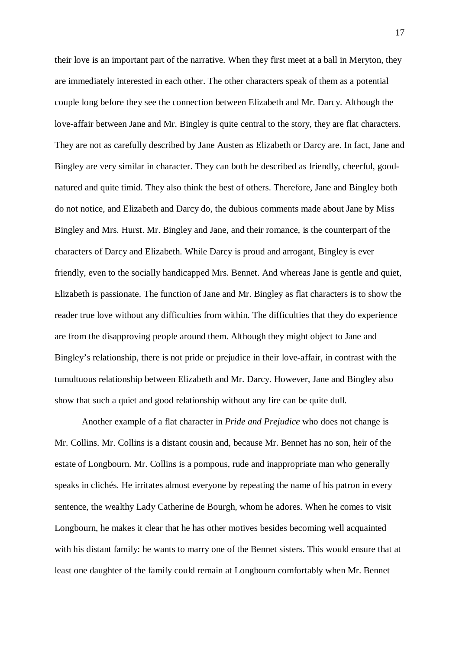their love is an important part of the narrative. When they first meet at a ball in Meryton, they are immediately interested in each other. The other characters speak of them as a potential couple long before they see the connection between Elizabeth and Mr. Darcy. Although the love-affair between Jane and Mr. Bingley is quite central to the story, they are flat characters. They are not as carefully described by Jane Austen as Elizabeth or Darcy are. In fact, Jane and Bingley are very similar in character. They can both be described as friendly, cheerful, goodnatured and quite timid. They also think the best of others. Therefore, Jane and Bingley both do not notice, and Elizabeth and Darcy do, the dubious comments made about Jane by Miss Bingley and Mrs. Hurst. Mr. Bingley and Jane, and their romance, is the counterpart of the characters of Darcy and Elizabeth. While Darcy is proud and arrogant, Bingley is ever friendly, even to the socially handicapped Mrs. Bennet. And whereas Jane is gentle and quiet, Elizabeth is passionate. The function of Jane and Mr. Bingley as flat characters is to show the reader true love without any difficulties from within. The difficulties that they do experience are from the disapproving people around them. Although they might object to Jane and Bingley's relationship, there is not pride or prejudice in their love-affair, in contrast with the tumultuous relationship between Elizabeth and Mr. Darcy. However, Jane and Bingley also show that such a quiet and good relationship without any fire can be quite dull.

Another example of a flat character in *Pride and Prejudice* who does not change is Mr. Collins. Mr. Collins is a distant cousin and, because Mr. Bennet has no son, heir of the estate of Longbourn. Mr. Collins is a pompous, rude and inappropriate man who generally speaks in clichés. He irritates almost everyone by repeating the name of his patron in every sentence, the wealthy Lady Catherine de Bourgh, whom he adores. When he comes to visit Longbourn, he makes it clear that he has other motives besides becoming well acquainted with his distant family: he wants to marry one of the Bennet sisters. This would ensure that at least one daughter of the family could remain at Longbourn comfortably when Mr. Bennet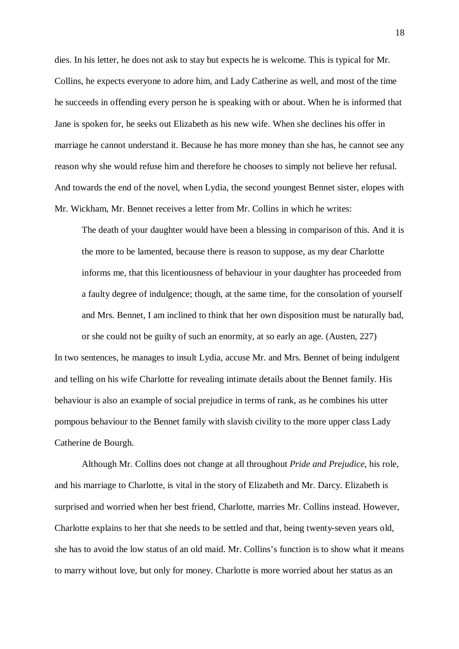dies. In his letter, he does not ask to stay but expects he is welcome. This is typical for Mr. Collins, he expects everyone to adore him, and Lady Catherine as well, and most of the time he succeeds in offending every person he is speaking with or about. When he is informed that Jane is spoken for, he seeks out Elizabeth as his new wife. When she declines his offer in marriage he cannot understand it. Because he has more money than she has, he cannot see any reason why she would refuse him and therefore he chooses to simply not believe her refusal. And towards the end of the novel, when Lydia, the second youngest Bennet sister, elopes with Mr. Wickham, Mr. Bennet receives a letter from Mr. Collins in which he writes:

The death of your daughter would have been a blessing in comparison of this. And it is the more to be lamented, because there is reason to suppose, as my dear Charlotte informs me, that this licentiousness of behaviour in your daughter has proceeded from a faulty degree of indulgence; though, at the same time, for the consolation of yourself and Mrs. Bennet, I am inclined to think that her own disposition must be naturally bad, or she could not be guilty of such an enormity, at so early an age. (Austen, 227)

In two sentences, he manages to insult Lydia, accuse Mr. and Mrs. Bennet of being indulgent and telling on his wife Charlotte for revealing intimate details about the Bennet family. His behaviour is also an example of social prejudice in terms of rank, as he combines his utter pompous behaviour to the Bennet family with slavish civility to the more upper class Lady Catherine de Bourgh.

Although Mr. Collins does not change at all throughout *Pride and Prejudice*, his role, and his marriage to Charlotte, is vital in the story of Elizabeth and Mr. Darcy. Elizabeth is surprised and worried when her best friend, Charlotte, marries Mr. Collins instead. However, Charlotte explains to her that she needs to be settled and that, being twenty-seven years old, she has to avoid the low status of an old maid. Mr. Collins's function is to show what it means to marry without love, but only for money. Charlotte is more worried about her status as an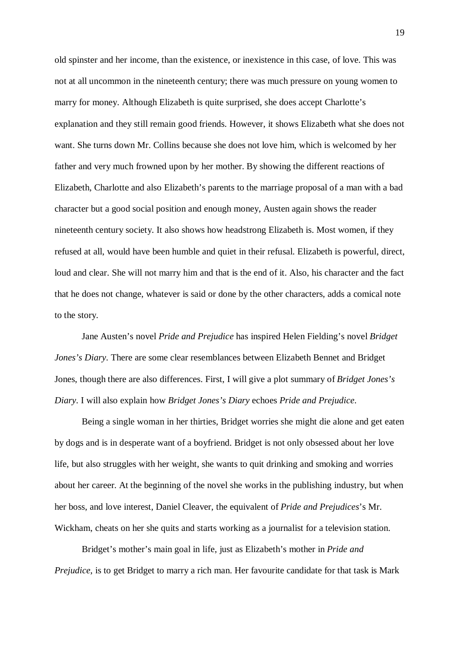old spinster and her income, than the existence, or inexistence in this case, of love. This was not at all uncommon in the nineteenth century; there was much pressure on young women to marry for money. Although Elizabeth is quite surprised, she does accept Charlotte's explanation and they still remain good friends. However, it shows Elizabeth what she does not want. She turns down Mr. Collins because she does not love him, which is welcomed by her father and very much frowned upon by her mother. By showing the different reactions of Elizabeth, Charlotte and also Elizabeth's parents to the marriage proposal of a man with a bad character but a good social position and enough money, Austen again shows the reader nineteenth century society. It also shows how headstrong Elizabeth is. Most women, if they refused at all, would have been humble and quiet in their refusal. Elizabeth is powerful, direct, loud and clear. She will not marry him and that is the end of it. Also, his character and the fact that he does not change, whatever is said or done by the other characters, adds a comical note to the story.

Jane Austen's novel *Pride and Prejudice* has inspired Helen Fielding's novel *Bridget Jones's Diary*. There are some clear resemblances between Elizabeth Bennet and Bridget Jones, though there are also differences. First, I will give a plot summary of *Bridget Jones's Diary*. I will also explain how *Bridget Jones's Diary* echoes *Pride and Prejudice*.

Being a single woman in her thirties, Bridget worries she might die alone and get eaten by dogs and is in desperate want of a boyfriend. Bridget is not only obsessed about her love life, but also struggles with her weight, she wants to quit drinking and smoking and worries about her career. At the beginning of the novel she works in the publishing industry, but when her boss, and love interest, Daniel Cleaver, the equivalent of *Pride and Prejudices*'s Mr. Wickham, cheats on her she quits and starts working as a journalist for a television station.

Bridget's mother's main goal in life, just as Elizabeth's mother in *Pride and Prejudice*, is to get Bridget to marry a rich man. Her favourite candidate for that task is Mark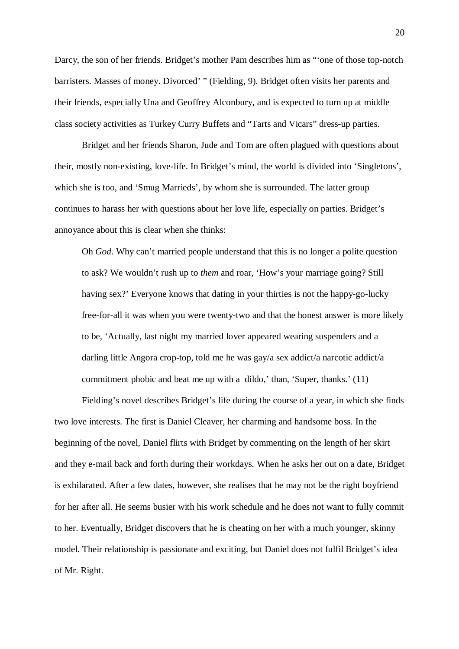Darcy, the son of her friends. Bridget's mother Pam describes him as "'one of those top-notch barristers. Masses of money. Divorced' " (Fielding, 9). Bridget often visits her parents and their friends, especially Una and Geoffrey Alconbury, and is expected to turn up at middle class society activities as Turkey Curry Buffets and "Tarts and Vicars" dress-up parties.

Bridget and her friends Sharon, Jude and Tom are often plagued with questions about their, mostly non-existing, love-life. In Bridget's mind, the world is divided into 'Singletons', which she is too, and 'Smug Marrieds', by whom she is surrounded. The latter group continues to harass her with questions about her love life, especially on parties. Bridget's annoyance about this is clear when she thinks:

Oh *God*. Why can't married people understand that this is no longer a polite question to ask? We wouldn't rush up to *them* and roar, 'How's your marriage going? Still having sex?' Everyone knows that dating in your thirties is not the happy-go-lucky free-for-all it was when you were twenty-two and that the honest answer is more likely to be, 'Actually, last night my married lover appeared wearing suspenders and a darling little Angora crop-top, told me he was gay/a sex addict/a narcotic addict/a commitment phobic and beat me up with a dildo,' than, 'Super, thanks.' (11)

Fielding's novel describes Bridget's life during the course of a year, in which she finds two love interests. The first is Daniel Cleaver, her charming and handsome boss. In the beginning of the novel, Daniel flirts with Bridget by commenting on the length of her skirt and they e-mail back and forth during their workdays. When he asks her out on a date, Bridget is exhilarated. After a few dates, however, she realises that he may not be the right boyfriend for her after all. He seems busier with his work schedule and he does not want to fully commit to her. Eventually, Bridget discovers that he is cheating on her with a much younger, skinny model. Their relationship is passionate and exciting, but Daniel does not fulfil Bridget's idea of Mr. Right.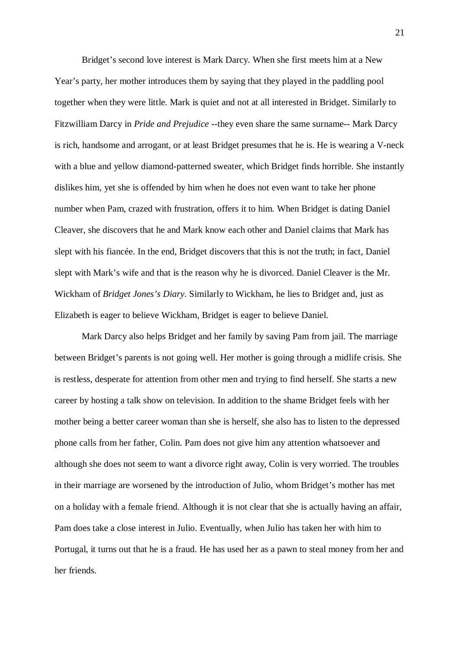Bridget's second love interest is Mark Darcy. When she first meets him at a New Year's party, her mother introduces them by saying that they played in the paddling pool together when they were little. Mark is quiet and not at all interested in Bridget. Similarly to Fitzwilliam Darcy in *Pride and Prejudice* --they even share the same surname-- Mark Darcy is rich, handsome and arrogant, or at least Bridget presumes that he is. He is wearing a V-neck with a blue and yellow diamond-patterned sweater, which Bridget finds horrible. She instantly dislikes him, yet she is offended by him when he does not even want to take her phone number when Pam, crazed with frustration, offers it to him. When Bridget is dating Daniel Cleaver, she discovers that he and Mark know each other and Daniel claims that Mark has slept with his fiancée. In the end, Bridget discovers that this is not the truth; in fact, Daniel slept with Mark's wife and that is the reason why he is divorced. Daniel Cleaver is the Mr. Wickham of *Bridget Jones's Diary*. Similarly to Wickham, he lies to Bridget and, just as Elizabeth is eager to believe Wickham, Bridget is eager to believe Daniel.

Mark Darcy also helps Bridget and her family by saving Pam from jail. The marriage between Bridget's parents is not going well. Her mother is going through a midlife crisis. She is restless, desperate for attention from other men and trying to find herself. She starts a new career by hosting a talk show on television. In addition to the shame Bridget feels with her mother being a better career woman than she is herself, she also has to listen to the depressed phone calls from her father, Colin. Pam does not give him any attention whatsoever and although she does not seem to want a divorce right away, Colin is very worried. The troubles in their marriage are worsened by the introduction of Julio, whom Bridget's mother has met on a holiday with a female friend. Although it is not clear that she is actually having an affair, Pam does take a close interest in Julio. Eventually, when Julio has taken her with him to Portugal, it turns out that he is a fraud. He has used her as a pawn to steal money from her and her friends.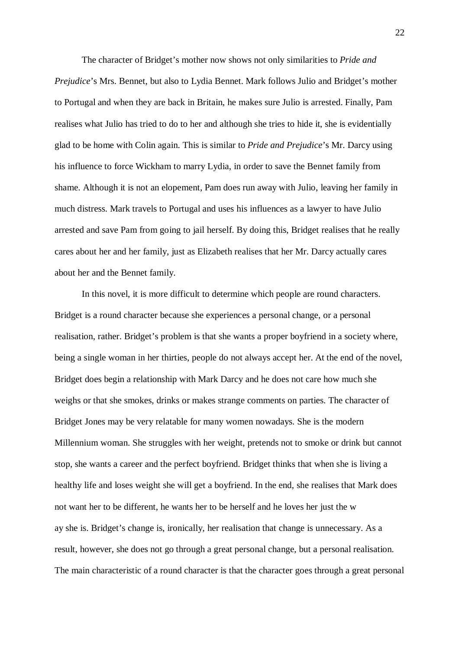The character of Bridget's mother now shows not only similarities to *Pride and Prejudice*'s Mrs. Bennet, but also to Lydia Bennet. Mark follows Julio and Bridget's mother to Portugal and when they are back in Britain, he makes sure Julio is arrested. Finally, Pam realises what Julio has tried to do to her and although she tries to hide it, she is evidentially glad to be home with Colin again. This is similar to *Pride and Prejudice*'s Mr. Darcy using his influence to force Wickham to marry Lydia, in order to save the Bennet family from shame. Although it is not an elopement, Pam does run away with Julio, leaving her family in much distress. Mark travels to Portugal and uses his influences as a lawyer to have Julio arrested and save Pam from going to jail herself. By doing this, Bridget realises that he really cares about her and her family, just as Elizabeth realises that her Mr. Darcy actually cares about her and the Bennet family.

In this novel, it is more difficult to determine which people are round characters. Bridget is a round character because she experiences a personal change, or a personal realisation, rather. Bridget's problem is that she wants a proper boyfriend in a society where, being a single woman in her thirties, people do not always accept her. At the end of the novel, Bridget does begin a relationship with Mark Darcy and he does not care how much she weighs or that she smokes, drinks or makes strange comments on parties. The character of Bridget Jones may be very relatable for many women nowadays. She is the modern Millennium woman. She struggles with her weight, pretends not to smoke or drink but cannot stop, she wants a career and the perfect boyfriend. Bridget thinks that when she is living a healthy life and loses weight she will get a boyfriend. In the end, she realises that Mark does not want her to be different, he wants her to be herself and he loves her just the w ay she is. Bridget's change is, ironically, her realisation that change is unnecessary. As a result, however, she does not go through a great personal change, but a personal realisation. The main characteristic of a round character is that the character goes through a great personal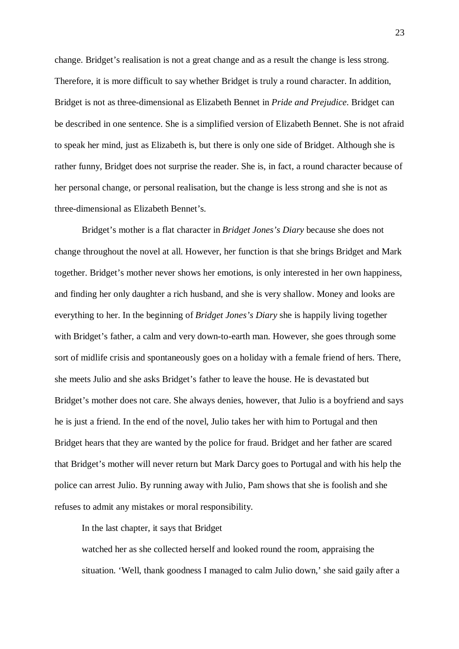change. Bridget's realisation is not a great change and as a result the change is less strong. Therefore, it is more difficult to say whether Bridget is truly a round character. In addition, Bridget is not as three-dimensional as Elizabeth Bennet in *Pride and Prejudice*. Bridget can be described in one sentence. She is a simplified version of Elizabeth Bennet. She is not afraid to speak her mind, just as Elizabeth is, but there is only one side of Bridget. Although she is rather funny, Bridget does not surprise the reader. She is, in fact, a round character because of her personal change, or personal realisation, but the change is less strong and she is not as three-dimensional as Elizabeth Bennet's.

Bridget's mother is a flat character in *Bridget Jones's Diary* because she does not change throughout the novel at all. However, her function is that she brings Bridget and Mark together. Bridget's mother never shows her emotions, is only interested in her own happiness, and finding her only daughter a rich husband, and she is very shallow. Money and looks are everything to her. In the beginning of *Bridget Jones's Diary* she is happily living together with Bridget's father, a calm and very down-to-earth man. However, she goes through some sort of midlife crisis and spontaneously goes on a holiday with a female friend of hers. There, she meets Julio and she asks Bridget's father to leave the house. He is devastated but Bridget's mother does not care. She always denies, however, that Julio is a boyfriend and says he is just a friend. In the end of the novel, Julio takes her with him to Portugal and then Bridget hears that they are wanted by the police for fraud. Bridget and her father are scared that Bridget's mother will never return but Mark Darcy goes to Portugal and with his help the police can arrest Julio. By running away with Julio, Pam shows that she is foolish and she refuses to admit any mistakes or moral responsibility.

In the last chapter, it says that Bridget

watched her as she collected herself and looked round the room, appraising the situation. 'Well, thank goodness I managed to calm Julio down,' she said gaily after a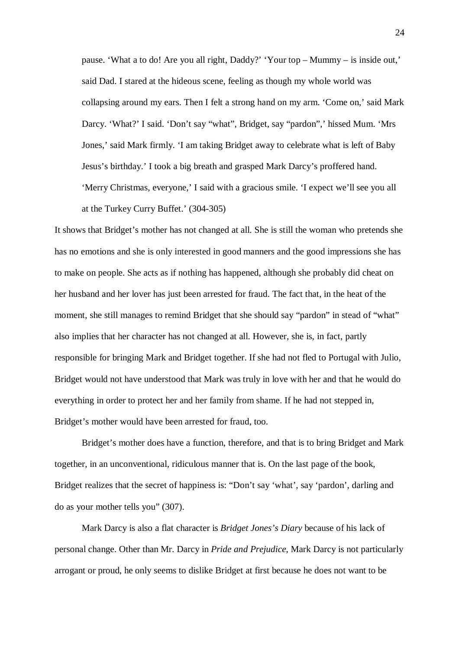pause. 'What a to do! Are you all right, Daddy?' 'Your top – Mummy – is inside out,' said Dad. I stared at the hideous scene, feeling as though my whole world was collapsing around my ears. Then I felt a strong hand on my arm. 'Come on,' said Mark Darcy. 'What?' I said. 'Don't say "what", Bridget, say "pardon",' hissed Mum. 'Mrs Jones,' said Mark firmly. 'I am taking Bridget away to celebrate what is left of Baby Jesus's birthday.' I took a big breath and grasped Mark Darcy's proffered hand. 'Merry Christmas, everyone,' I said with a gracious smile. 'I expect we'll see you all

at the Turkey Curry Buffet.' (304-305)

It shows that Bridget's mother has not changed at all. She is still the woman who pretends she has no emotions and she is only interested in good manners and the good impressions she has to make on people. She acts as if nothing has happened, although she probably did cheat on her husband and her lover has just been arrested for fraud. The fact that, in the heat of the moment, she still manages to remind Bridget that she should say "pardon" in stead of "what" also implies that her character has not changed at all. However, she is, in fact, partly responsible for bringing Mark and Bridget together. If she had not fled to Portugal with Julio, Bridget would not have understood that Mark was truly in love with her and that he would do everything in order to protect her and her family from shame. If he had not stepped in, Bridget's mother would have been arrested for fraud, too.

Bridget's mother does have a function, therefore, and that is to bring Bridget and Mark together, in an unconventional, ridiculous manner that is. On the last page of the book, Bridget realizes that the secret of happiness is: "Don't say 'what', say 'pardon', darling and do as your mother tells you" (307).

Mark Darcy is also a flat character is *Bridget Jones's Diary* because of his lack of personal change. Other than Mr. Darcy in *Pride and Prejudice*, Mark Darcy is not particularly arrogant or proud, he only seems to dislike Bridget at first because he does not want to be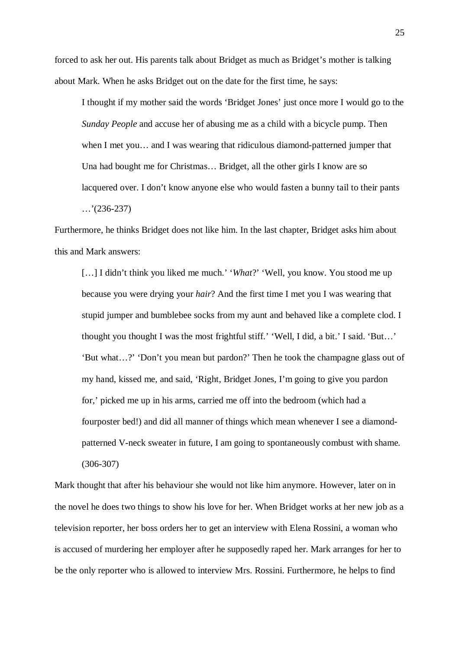forced to ask her out. His parents talk about Bridget as much as Bridget's mother is talking about Mark. When he asks Bridget out on the date for the first time, he says:

I thought if my mother said the words 'Bridget Jones' just once more I would go to the *Sunday People* and accuse her of abusing me as a child with a bicycle pump. Then when I met you… and I was wearing that ridiculous diamond-patterned jumper that Una had bought me for Christmas… Bridget, all the other girls I know are so lacquered over. I don't know anyone else who would fasten a bunny tail to their pants  $\ldots$ '(236-237)

Furthermore, he thinks Bridget does not like him. In the last chapter, Bridget asks him about this and Mark answers:

[...] I didn't think you liked me much.' '*What*?' 'Well, you know. You stood me up because you were drying your *hair*? And the first time I met you I was wearing that stupid jumper and bumblebee socks from my aunt and behaved like a complete clod. I thought you thought I was the most frightful stiff.' 'Well, I did, a bit.' I said. 'But…' 'But what…?' 'Don't you mean but pardon?' Then he took the champagne glass out of my hand, kissed me, and said, 'Right, Bridget Jones, I'm going to give you pardon for,' picked me up in his arms, carried me off into the bedroom (which had a fourposter bed!) and did all manner of things which mean whenever I see a diamondpatterned V-neck sweater in future, I am going to spontaneously combust with shame. (306-307)

Mark thought that after his behaviour she would not like him anymore. However, later on in the novel he does two things to show his love for her. When Bridget works at her new job as a television reporter, her boss orders her to get an interview with Elena Rossini, a woman who is accused of murdering her employer after he supposedly raped her. Mark arranges for her to be the only reporter who is allowed to interview Mrs. Rossini. Furthermore, he helps to find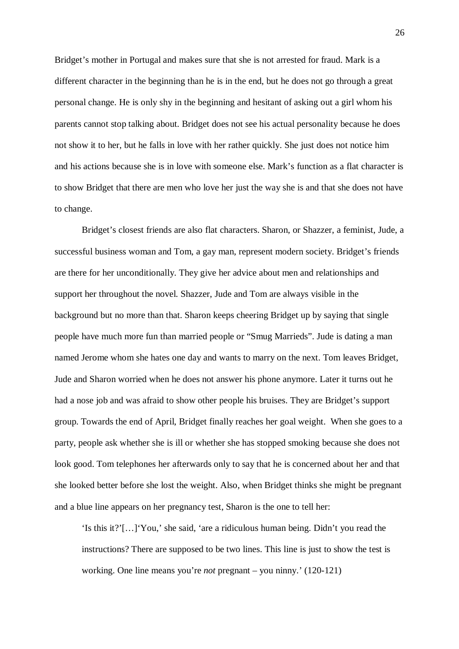Bridget's mother in Portugal and makes sure that she is not arrested for fraud. Mark is a different character in the beginning than he is in the end, but he does not go through a great personal change. He is only shy in the beginning and hesitant of asking out a girl whom his parents cannot stop talking about. Bridget does not see his actual personality because he does not show it to her, but he falls in love with her rather quickly. She just does not notice him and his actions because she is in love with someone else. Mark's function as a flat character is to show Bridget that there are men who love her just the way she is and that she does not have to change.

Bridget's closest friends are also flat characters. Sharon, or Shazzer, a feminist, Jude, a successful business woman and Tom, a gay man, represent modern society. Bridget's friends are there for her unconditionally. They give her advice about men and relationships and support her throughout the novel. Shazzer, Jude and Tom are always visible in the background but no more than that. Sharon keeps cheering Bridget up by saying that single people have much more fun than married people or "Smug Marrieds". Jude is dating a man named Jerome whom she hates one day and wants to marry on the next. Tom leaves Bridget, Jude and Sharon worried when he does not answer his phone anymore. Later it turns out he had a nose job and was afraid to show other people his bruises. They are Bridget's support group. Towards the end of April, Bridget finally reaches her goal weight. When she goes to a party, people ask whether she is ill or whether she has stopped smoking because she does not look good. Tom telephones her afterwards only to say that he is concerned about her and that she looked better before she lost the weight. Also, when Bridget thinks she might be pregnant and a blue line appears on her pregnancy test, Sharon is the one to tell her:

'Is this it?'[…]'You,' she said, 'are a ridiculous human being. Didn't you read the instructions? There are supposed to be two lines. This line is just to show the test is working. One line means you're *not* pregnant – you ninny.' (120-121)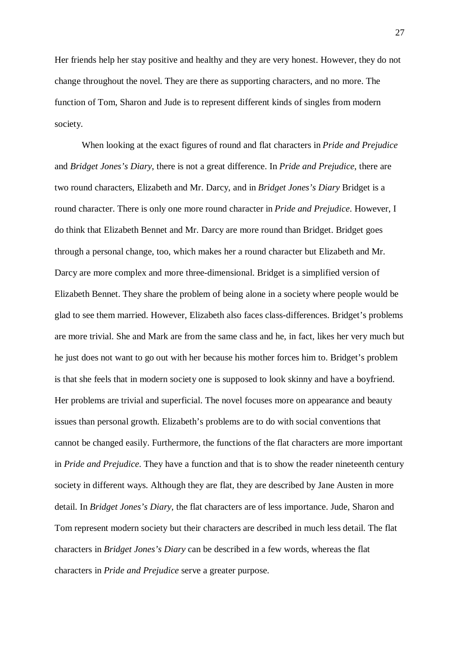Her friends help her stay positive and healthy and they are very honest. However, they do not change throughout the novel. They are there as supporting characters, and no more. The function of Tom, Sharon and Jude is to represent different kinds of singles from modern society.

When looking at the exact figures of round and flat characters in *Pride and Prejudice* and *Bridget Jones's Diary*, there is not a great difference. In *Pride and Prejudice*, there are two round characters, Elizabeth and Mr. Darcy, and in *Bridget Jones's Diary* Bridget is a round character. There is only one more round character in *Pride and Prejudice*. However, I do think that Elizabeth Bennet and Mr. Darcy are more round than Bridget. Bridget goes through a personal change, too, which makes her a round character but Elizabeth and Mr. Darcy are more complex and more three-dimensional. Bridget is a simplified version of Elizabeth Bennet. They share the problem of being alone in a society where people would be glad to see them married. However, Elizabeth also faces class-differences. Bridget's problems are more trivial. She and Mark are from the same class and he, in fact, likes her very much but he just does not want to go out with her because his mother forces him to. Bridget's problem is that she feels that in modern society one is supposed to look skinny and have a boyfriend. Her problems are trivial and superficial. The novel focuses more on appearance and beauty issues than personal growth. Elizabeth's problems are to do with social conventions that cannot be changed easily. Furthermore, the functions of the flat characters are more important in *Pride and Prejudice*. They have a function and that is to show the reader nineteenth century society in different ways. Although they are flat, they are described by Jane Austen in more detail. In *Bridget Jones's Diary*, the flat characters are of less importance. Jude, Sharon and Tom represent modern society but their characters are described in much less detail. The flat characters in *Bridget Jones's Diary* can be described in a few words, whereas the flat characters in *Pride and Prejudice* serve a greater purpose.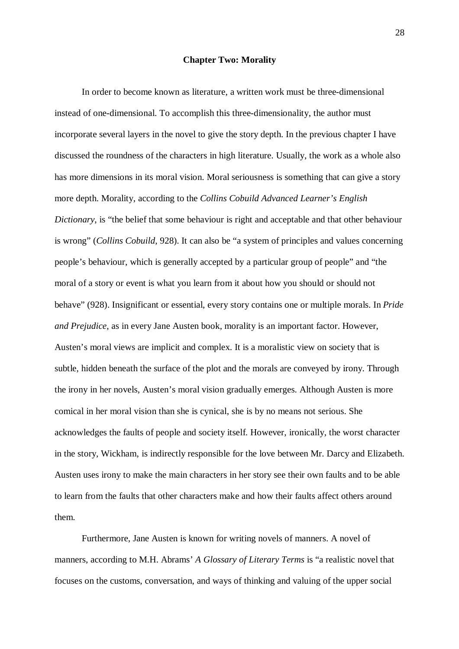# **Chapter Two: Morality**

In order to become known as literature, a written work must be three-dimensional instead of one-dimensional. To accomplish this three-dimensionality, the author must incorporate several layers in the novel to give the story depth. In the previous chapter I have discussed the roundness of the characters in high literature. Usually, the work as a whole also has more dimensions in its moral vision. Moral seriousness is something that can give a story more depth. Morality, according to the *Collins Cobuild Advanced Learner's English Dictionary*, is "the belief that some behaviour is right and acceptable and that other behaviour is wrong" (*Collins Cobuild*, 928). It can also be "a system of principles and values concerning people's behaviour, which is generally accepted by a particular group of people" and "the moral of a story or event is what you learn from it about how you should or should not behave" (928). Insignificant or essential, every story contains one or multiple morals. In *Pride and Prejudice*, as in every Jane Austen book, morality is an important factor. However, Austen's moral views are implicit and complex. It is a moralistic view on society that is subtle, hidden beneath the surface of the plot and the morals are conveyed by irony. Through the irony in her novels, Austen's moral vision gradually emerges. Although Austen is more comical in her moral vision than she is cynical, she is by no means not serious. She acknowledges the faults of people and society itself. However, ironically, the worst character in the story, Wickham, is indirectly responsible for the love between Mr. Darcy and Elizabeth. Austen uses irony to make the main characters in her story see their own faults and to be able to learn from the faults that other characters make and how their faults affect others around them.

Furthermore, Jane Austen is known for writing novels of manners. A novel of manners, according to M.H. Abrams' *A Glossary of Literary Terms* is "a realistic novel that focuses on the customs, conversation, and ways of thinking and valuing of the upper social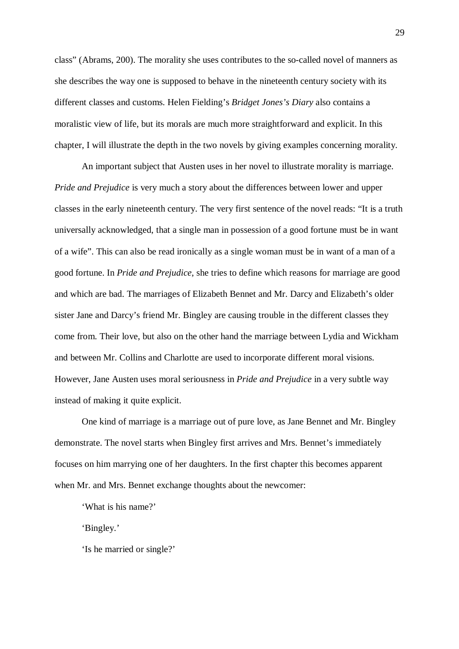class" (Abrams, 200). The morality she uses contributes to the so-called novel of manners as she describes the way one is supposed to behave in the nineteenth century society with its different classes and customs. Helen Fielding's *Bridget Jones's Diary* also contains a moralistic view of life, but its morals are much more straightforward and explicit. In this chapter, I will illustrate the depth in the two novels by giving examples concerning morality.

An important subject that Austen uses in her novel to illustrate morality is marriage. *Pride and Prejudice* is very much a story about the differences between lower and upper classes in the early nineteenth century. The very first sentence of the novel reads: "It is a truth universally acknowledged, that a single man in possession of a good fortune must be in want of a wife". This can also be read ironically as a single woman must be in want of a man of a good fortune. In *Pride and Prejudice*, she tries to define which reasons for marriage are good and which are bad. The marriages of Elizabeth Bennet and Mr. Darcy and Elizabeth's older sister Jane and Darcy's friend Mr. Bingley are causing trouble in the different classes they come from. Their love, but also on the other hand the marriage between Lydia and Wickham and between Mr. Collins and Charlotte are used to incorporate different moral visions. However, Jane Austen uses moral seriousness in *Pride and Prejudice* in a very subtle way instead of making it quite explicit.

One kind of marriage is a marriage out of pure love, as Jane Bennet and Mr. Bingley demonstrate. The novel starts when Bingley first arrives and Mrs. Bennet's immediately focuses on him marrying one of her daughters. In the first chapter this becomes apparent when Mr. and Mrs. Bennet exchange thoughts about the newcomer:

'What is his name?'

'Bingley.'

'Is he married or single?'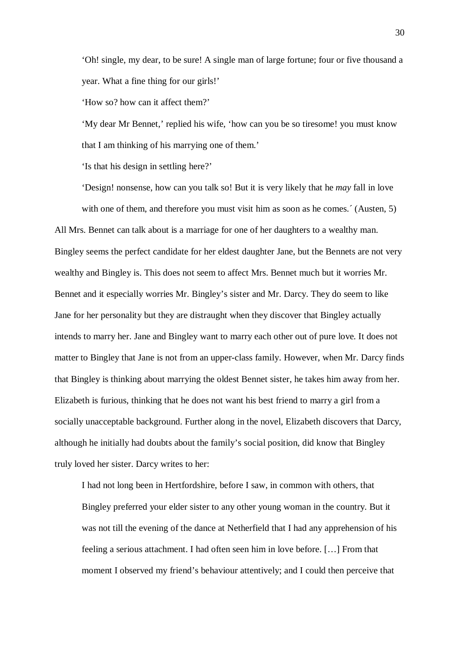'Oh! single, my dear, to be sure! A single man of large fortune; four or five thousand a year. What a fine thing for our girls!'

'How so? how can it affect them?'

'My dear Mr Bennet,' replied his wife, 'how can you be so tiresome! you must know that I am thinking of his marrying one of them.'

'Is that his design in settling here?'

'Design! nonsense, how can you talk so! But it is very likely that he *may* fall in love with one of them, and therefore you must visit him as soon as he comes. (Austen, 5)

All Mrs. Bennet can talk about is a marriage for one of her daughters to a wealthy man. Bingley seems the perfect candidate for her eldest daughter Jane, but the Bennets are not very wealthy and Bingley is. This does not seem to affect Mrs. Bennet much but it worries Mr. Bennet and it especially worries Mr. Bingley's sister and Mr. Darcy. They do seem to like Jane for her personality but they are distraught when they discover that Bingley actually intends to marry her. Jane and Bingley want to marry each other out of pure love. It does not matter to Bingley that Jane is not from an upper-class family. However, when Mr. Darcy finds that Bingley is thinking about marrying the oldest Bennet sister, he takes him away from her. Elizabeth is furious, thinking that he does not want his best friend to marry a girl from a socially unacceptable background. Further along in the novel, Elizabeth discovers that Darcy, although he initially had doubts about the family's social position, did know that Bingley truly loved her sister. Darcy writes to her:

I had not long been in Hertfordshire, before I saw, in common with others, that Bingley preferred your elder sister to any other young woman in the country. But it was not till the evening of the dance at Netherfield that I had any apprehension of his feeling a serious attachment. I had often seen him in love before. […] From that moment I observed my friend's behaviour attentively; and I could then perceive that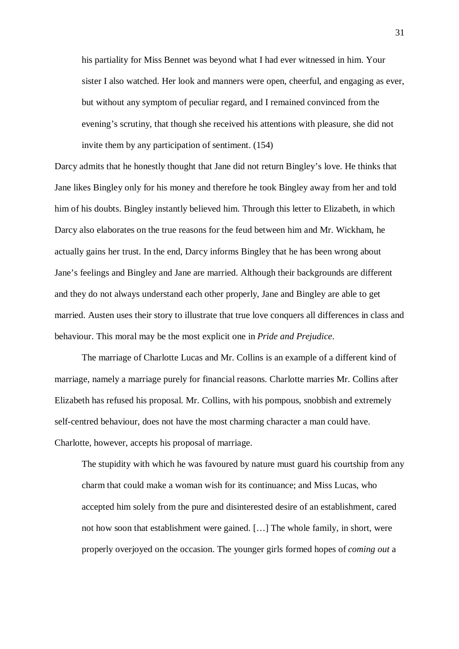his partiality for Miss Bennet was beyond what I had ever witnessed in him. Your sister I also watched. Her look and manners were open, cheerful, and engaging as ever, but without any symptom of peculiar regard, and I remained convinced from the evening's scrutiny, that though she received his attentions with pleasure, she did not invite them by any participation of sentiment. (154)

Darcy admits that he honestly thought that Jane did not return Bingley's love. He thinks that Jane likes Bingley only for his money and therefore he took Bingley away from her and told him of his doubts. Bingley instantly believed him. Through this letter to Elizabeth, in which Darcy also elaborates on the true reasons for the feud between him and Mr. Wickham, he actually gains her trust. In the end, Darcy informs Bingley that he has been wrong about Jane's feelings and Bingley and Jane are married. Although their backgrounds are different and they do not always understand each other properly, Jane and Bingley are able to get married. Austen uses their story to illustrate that true love conquers all differences in class and behaviour. This moral may be the most explicit one in *Pride and Prejudice*.

The marriage of Charlotte Lucas and Mr. Collins is an example of a different kind of marriage, namely a marriage purely for financial reasons. Charlotte marries Mr. Collins after Elizabeth has refused his proposal. Mr. Collins, with his pompous, snobbish and extremely self-centred behaviour, does not have the most charming character a man could have. Charlotte, however, accepts his proposal of marriage.

The stupidity with which he was favoured by nature must guard his courtship from any charm that could make a woman wish for its continuance; and Miss Lucas, who accepted him solely from the pure and disinterested desire of an establishment, cared not how soon that establishment were gained. […] The whole family, in short, were properly overjoyed on the occasion. The younger girls formed hopes of *coming out* a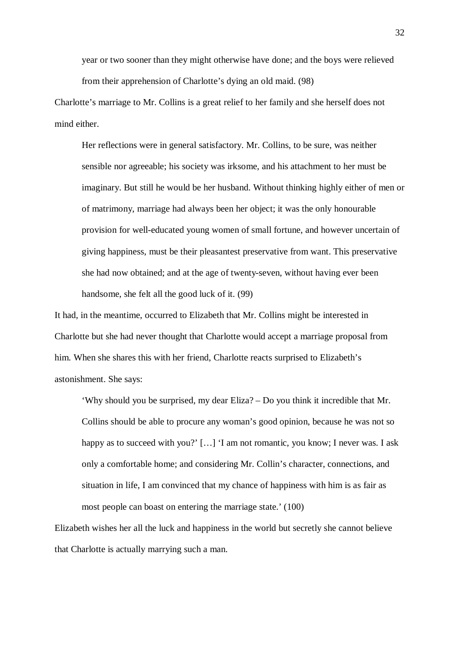year or two sooner than they might otherwise have done; and the boys were relieved from their apprehension of Charlotte's dying an old maid. (98)

Charlotte's marriage to Mr. Collins is a great relief to her family and she herself does not mind either.

Her reflections were in general satisfactory. Mr. Collins, to be sure, was neither sensible nor agreeable; his society was irksome, and his attachment to her must be imaginary. But still he would be her husband. Without thinking highly either of men or of matrimony, marriage had always been her object; it was the only honourable provision for well-educated young women of small fortune, and however uncertain of giving happiness, must be their pleasantest preservative from want. This preservative she had now obtained; and at the age of twenty-seven, without having ever been handsome, she felt all the good luck of it. (99)

It had, in the meantime, occurred to Elizabeth that Mr. Collins might be interested in Charlotte but she had never thought that Charlotte would accept a marriage proposal from him. When she shares this with her friend, Charlotte reacts surprised to Elizabeth's astonishment. She says:

'Why should you be surprised, my dear Eliza? – Do you think it incredible that Mr. Collins should be able to procure any woman's good opinion, because he was not so happy as to succeed with you?' [...] 'I am not romantic, you know; I never was. I ask only a comfortable home; and considering Mr. Collin's character, connections, and situation in life, I am convinced that my chance of happiness with him is as fair as most people can boast on entering the marriage state.' (100)

Elizabeth wishes her all the luck and happiness in the world but secretly she cannot believe that Charlotte is actually marrying such a man.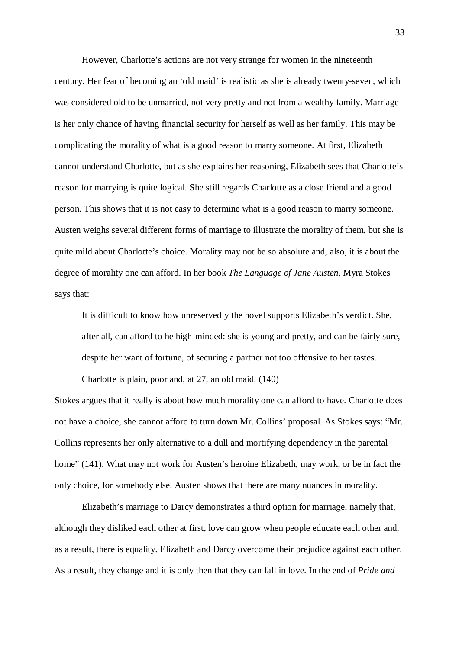However, Charlotte's actions are not very strange for women in the nineteenth century. Her fear of becoming an 'old maid' is realistic as she is already twenty-seven, which was considered old to be unmarried, not very pretty and not from a wealthy family. Marriage is her only chance of having financial security for herself as well as her family. This may be complicating the morality of what is a good reason to marry someone. At first, Elizabeth cannot understand Charlotte, but as she explains her reasoning, Elizabeth sees that Charlotte's reason for marrying is quite logical. She still regards Charlotte as a close friend and a good person. This shows that it is not easy to determine what is a good reason to marry someone. Austen weighs several different forms of marriage to illustrate the morality of them, but she is quite mild about Charlotte's choice. Morality may not be so absolute and, also, it is about the degree of morality one can afford. In her book *The Language of Jane Austen*, Myra Stokes says that:

It is difficult to know how unreservedly the novel supports Elizabeth's verdict. She, after all, can afford to he high-minded: she is young and pretty, and can be fairly sure, despite her want of fortune, of securing a partner not too offensive to her tastes.

Charlotte is plain, poor and, at 27, an old maid. (140)

Stokes argues that it really is about how much morality one can afford to have. Charlotte does not have a choice, she cannot afford to turn down Mr. Collins' proposal. As Stokes says: "Mr. Collins represents her only alternative to a dull and mortifying dependency in the parental home" (141). What may not work for Austen's heroine Elizabeth, may work, or be in fact the only choice, for somebody else. Austen shows that there are many nuances in morality.

Elizabeth's marriage to Darcy demonstrates a third option for marriage, namely that, although they disliked each other at first, love can grow when people educate each other and, as a result, there is equality. Elizabeth and Darcy overcome their prejudice against each other. As a result, they change and it is only then that they can fall in love. In the end of *Pride and*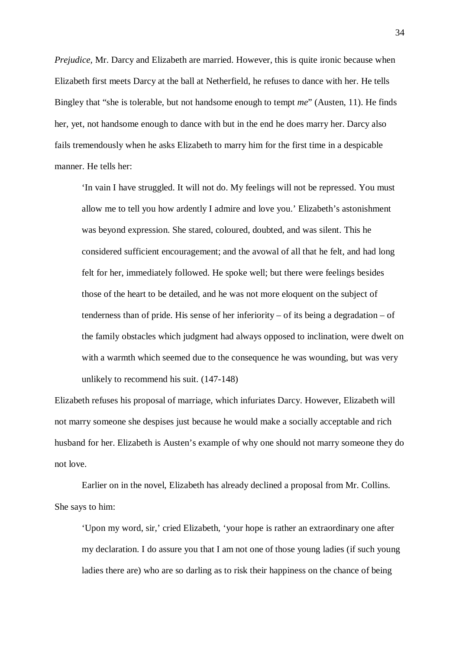*Prejudice,* Mr. Darcy and Elizabeth are married. However, this is quite ironic because when Elizabeth first meets Darcy at the ball at Netherfield, he refuses to dance with her. He tells Bingley that "she is tolerable, but not handsome enough to tempt *me*" (Austen, 11). He finds her, yet, not handsome enough to dance with but in the end he does marry her. Darcy also fails tremendously when he asks Elizabeth to marry him for the first time in a despicable manner. He tells her:

'In vain I have struggled. It will not do. My feelings will not be repressed. You must allow me to tell you how ardently I admire and love you.' Elizabeth's astonishment was beyond expression. She stared, coloured, doubted, and was silent. This he considered sufficient encouragement; and the avowal of all that he felt, and had long felt for her, immediately followed. He spoke well; but there were feelings besides those of the heart to be detailed, and he was not more eloquent on the subject of tenderness than of pride. His sense of her inferiority – of its being a degradation – of the family obstacles which judgment had always opposed to inclination, were dwelt on with a warmth which seemed due to the consequence he was wounding, but was very unlikely to recommend his suit. (147-148)

Elizabeth refuses his proposal of marriage, which infuriates Darcy. However, Elizabeth will not marry someone she despises just because he would make a socially acceptable and rich husband for her. Elizabeth is Austen's example of why one should not marry someone they do not love.

Earlier on in the novel, Elizabeth has already declined a proposal from Mr. Collins. She says to him:

'Upon my word, sir,' cried Elizabeth, 'your hope is rather an extraordinary one after my declaration. I do assure you that I am not one of those young ladies (if such young ladies there are) who are so darling as to risk their happiness on the chance of being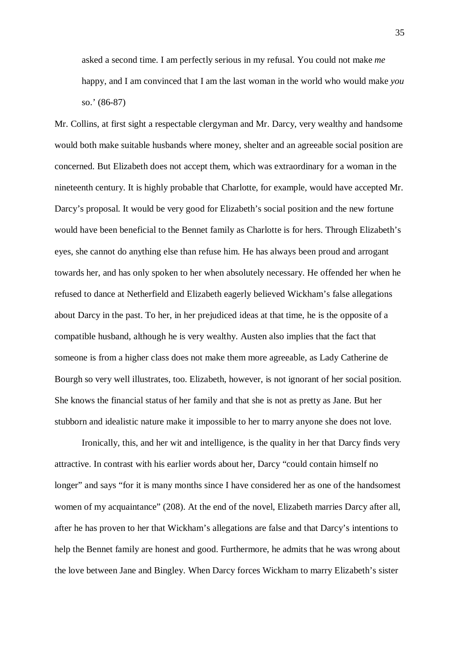asked a second time. I am perfectly serious in my refusal. You could not make *me* happy, and I am convinced that I am the last woman in the world who would make *you* so.' (86-87)

Mr. Collins, at first sight a respectable clergyman and Mr. Darcy, very wealthy and handsome would both make suitable husbands where money, shelter and an agreeable social position are concerned. But Elizabeth does not accept them, which was extraordinary for a woman in the nineteenth century. It is highly probable that Charlotte, for example, would have accepted Mr. Darcy's proposal. It would be very good for Elizabeth's social position and the new fortune would have been beneficial to the Bennet family as Charlotte is for hers. Through Elizabeth's eyes, she cannot do anything else than refuse him. He has always been proud and arrogant towards her, and has only spoken to her when absolutely necessary. He offended her when he refused to dance at Netherfield and Elizabeth eagerly believed Wickham's false allegations about Darcy in the past. To her, in her prejudiced ideas at that time, he is the opposite of a compatible husband, although he is very wealthy. Austen also implies that the fact that someone is from a higher class does not make them more agreeable, as Lady Catherine de Bourgh so very well illustrates, too. Elizabeth, however, is not ignorant of her social position. She knows the financial status of her family and that she is not as pretty as Jane. But her stubborn and idealistic nature make it impossible to her to marry anyone she does not love.

Ironically, this, and her wit and intelligence, is the quality in her that Darcy finds very attractive. In contrast with his earlier words about her, Darcy "could contain himself no longer" and says "for it is many months since I have considered her as one of the handsomest women of my acquaintance" (208). At the end of the novel, Elizabeth marries Darcy after all, after he has proven to her that Wickham's allegations are false and that Darcy's intentions to help the Bennet family are honest and good. Furthermore, he admits that he was wrong about the love between Jane and Bingley. When Darcy forces Wickham to marry Elizabeth's sister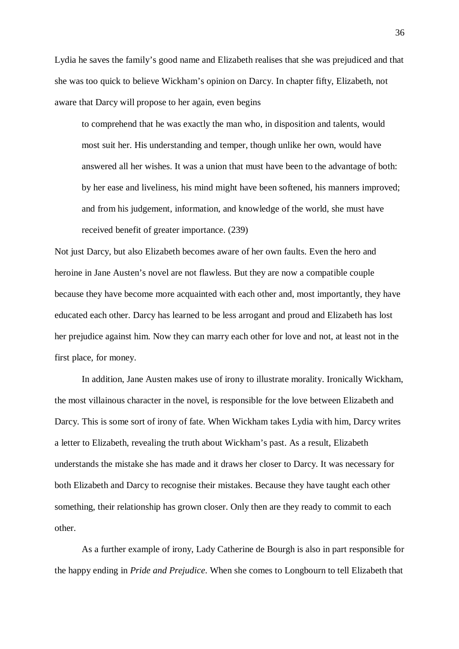Lydia he saves the family's good name and Elizabeth realises that she was prejudiced and that she was too quick to believe Wickham's opinion on Darcy. In chapter fifty, Elizabeth, not aware that Darcy will propose to her again, even begins

to comprehend that he was exactly the man who, in disposition and talents, would most suit her. His understanding and temper, though unlike her own, would have answered all her wishes. It was a union that must have been to the advantage of both: by her ease and liveliness, his mind might have been softened, his manners improved; and from his judgement, information, and knowledge of the world, she must have received benefit of greater importance. (239)

Not just Darcy, but also Elizabeth becomes aware of her own faults. Even the hero and heroine in Jane Austen's novel are not flawless. But they are now a compatible couple because they have become more acquainted with each other and, most importantly, they have educated each other. Darcy has learned to be less arrogant and proud and Elizabeth has lost her prejudice against him. Now they can marry each other for love and not, at least not in the first place, for money.

In addition, Jane Austen makes use of irony to illustrate morality. Ironically Wickham, the most villainous character in the novel, is responsible for the love between Elizabeth and Darcy. This is some sort of irony of fate. When Wickham takes Lydia with him, Darcy writes a letter to Elizabeth, revealing the truth about Wickham's past. As a result, Elizabeth understands the mistake she has made and it draws her closer to Darcy. It was necessary for both Elizabeth and Darcy to recognise their mistakes. Because they have taught each other something, their relationship has grown closer. Only then are they ready to commit to each other.

As a further example of irony, Lady Catherine de Bourgh is also in part responsible for the happy ending in *Pride and Prejudice*. When she comes to Longbourn to tell Elizabeth that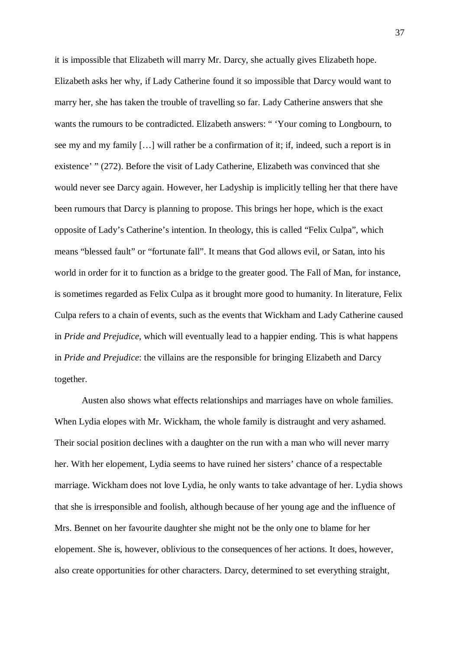it is impossible that Elizabeth will marry Mr. Darcy, she actually gives Elizabeth hope. Elizabeth asks her why, if Lady Catherine found it so impossible that Darcy would want to marry her, she has taken the trouble of travelling so far. Lady Catherine answers that she wants the rumours to be contradicted. Elizabeth answers: " 'Your coming to Longbourn, to see my and my family […] will rather be a confirmation of it; if, indeed, such a report is in existence' " (272). Before the visit of Lady Catherine, Elizabeth was convinced that she would never see Darcy again. However, her Ladyship is implicitly telling her that there have been rumours that Darcy is planning to propose. This brings her hope, which is the exact opposite of Lady's Catherine's intention. In theology, this is called "Felix Culpa", which means "blessed fault" or "fortunate fall". It means that God allows evil, or Satan, into his world in order for it to function as a bridge to the greater good. The Fall of Man, for instance, is sometimes regarded as Felix Culpa as it brought more good to humanity. In literature, Felix Culpa refers to a chain of events, such as the events that Wickham and Lady Catherine caused in *Pride and Prejudice*, which will eventually lead to a happier ending. This is what happens in *Pride and Prejudice*: the villains are the responsible for bringing Elizabeth and Darcy together.

Austen also shows what effects relationships and marriages have on whole families. When Lydia elopes with Mr. Wickham, the whole family is distraught and very ashamed. Their social position declines with a daughter on the run with a man who will never marry her. With her elopement, Lydia seems to have ruined her sisters' chance of a respectable marriage. Wickham does not love Lydia, he only wants to take advantage of her. Lydia shows that she is irresponsible and foolish, although because of her young age and the influence of Mrs. Bennet on her favourite daughter she might not be the only one to blame for her elopement. She is, however, oblivious to the consequences of her actions. It does, however, also create opportunities for other characters. Darcy, determined to set everything straight,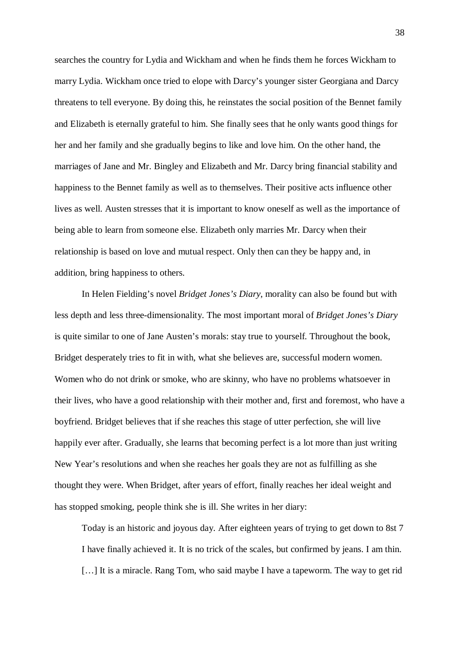searches the country for Lydia and Wickham and when he finds them he forces Wickham to marry Lydia. Wickham once tried to elope with Darcy's younger sister Georgiana and Darcy threatens to tell everyone. By doing this, he reinstates the social position of the Bennet family and Elizabeth is eternally grateful to him. She finally sees that he only wants good things for her and her family and she gradually begins to like and love him. On the other hand, the marriages of Jane and Mr. Bingley and Elizabeth and Mr. Darcy bring financial stability and happiness to the Bennet family as well as to themselves. Their positive acts influence other lives as well. Austen stresses that it is important to know oneself as well as the importance of being able to learn from someone else. Elizabeth only marries Mr. Darcy when their relationship is based on love and mutual respect. Only then can they be happy and, in addition, bring happiness to others.

In Helen Fielding's novel *Bridget Jones's Diary*, morality can also be found but with less depth and less three-dimensionality. The most important moral of *Bridget Jones's Diary* is quite similar to one of Jane Austen's morals: stay true to yourself. Throughout the book, Bridget desperately tries to fit in with, what she believes are, successful modern women. Women who do not drink or smoke, who are skinny, who have no problems whatsoever in their lives, who have a good relationship with their mother and, first and foremost, who have a boyfriend. Bridget believes that if she reaches this stage of utter perfection, she will live happily ever after. Gradually, she learns that becoming perfect is a lot more than just writing New Year's resolutions and when she reaches her goals they are not as fulfilling as she thought they were. When Bridget, after years of effort, finally reaches her ideal weight and has stopped smoking, people think she is ill. She writes in her diary:

Today is an historic and joyous day. After eighteen years of trying to get down to 8st 7 I have finally achieved it. It is no trick of the scales, but confirmed by jeans. I am thin. [...] It is a miracle. Rang Tom, who said maybe I have a tapeworm. The way to get rid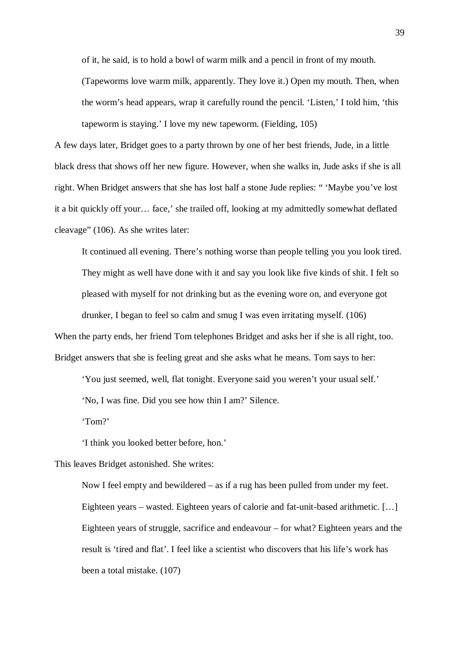of it, he said, is to hold a bowl of warm milk and a pencil in front of my mouth.

(Tapeworms love warm milk, apparently. They love it.) Open my mouth. Then, when the worm's head appears, wrap it carefully round the pencil. 'Listen,' I told him, 'this tapeworm is staying.' I love my new tapeworm. (Fielding, 105)

A few days later, Bridget goes to a party thrown by one of her best friends, Jude, in a little black dress that shows off her new figure. However, when she walks in, Jude asks if she is all right. When Bridget answers that she has lost half a stone Jude replies: " 'Maybe you've lost it a bit quickly off your… face,' she trailed off, looking at my admittedly somewhat deflated cleavage" (106). As she writes later:

It continued all evening. There's nothing worse than people telling you you look tired. They might as well have done with it and say you look like five kinds of shit. I felt so pleased with myself for not drinking but as the evening wore on, and everyone got drunker, I began to feel so calm and smug I was even irritating myself. (106)

When the party ends, her friend Tom telephones Bridget and asks her if she is all right, too. Bridget answers that she is feeling great and she asks what he means. Tom says to her:

'You just seemed, well, flat tonight. Everyone said you weren't your usual self.'

'No, I was fine. Did you see how thin I am?' Silence.

'Tom?'

'I think you looked better before, hon.'

This leaves Bridget astonished. She writes:

Now I feel empty and bewildered – as if a rug has been pulled from under my feet. Eighteen years – wasted. Eighteen years of calorie and fat-unit-based arithmetic. […] Eighteen years of struggle, sacrifice and endeavour – for what? Eighteen years and the result is 'tired and flat'. I feel like a scientist who discovers that his life's work has been a total mistake. (107)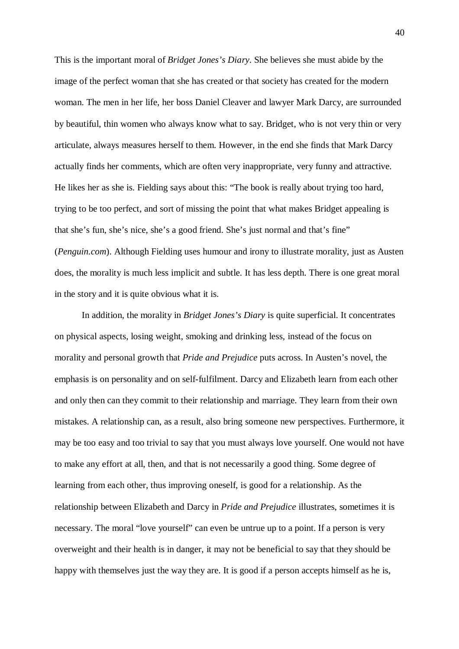This is the important moral of *Bridget Jones's Diary*. She believes she must abide by the image of the perfect woman that she has created or that society has created for the modern woman. The men in her life, her boss Daniel Cleaver and lawyer Mark Darcy, are surrounded by beautiful, thin women who always know what to say. Bridget, who is not very thin or very articulate, always measures herself to them. However, in the end she finds that Mark Darcy actually finds her comments, which are often very inappropriate, very funny and attractive. He likes her as she is. Fielding says about this: "The book is really about trying too hard, trying to be too perfect, and sort of missing the point that what makes Bridget appealing is that she's fun, she's nice, she's a good friend. She's just normal and that's fine" (*Penguin.com*). Although Fielding uses humour and irony to illustrate morality, just as Austen does, the morality is much less implicit and subtle. It has less depth. There is one great moral in the story and it is quite obvious what it is.

In addition, the morality in *Bridget Jones's Diary* is quite superficial. It concentrates on physical aspects, losing weight, smoking and drinking less, instead of the focus on morality and personal growth that *Pride and Prejudice* puts across. In Austen's novel, the emphasis is on personality and on self-fulfilment. Darcy and Elizabeth learn from each other and only then can they commit to their relationship and marriage. They learn from their own mistakes. A relationship can, as a result, also bring someone new perspectives. Furthermore, it may be too easy and too trivial to say that you must always love yourself. One would not have to make any effort at all, then, and that is not necessarily a good thing. Some degree of learning from each other, thus improving oneself, is good for a relationship. As the relationship between Elizabeth and Darcy in *Pride and Prejudice* illustrates, sometimes it is necessary. The moral "love yourself" can even be untrue up to a point. If a person is very overweight and their health is in danger, it may not be beneficial to say that they should be happy with themselves just the way they are. It is good if a person accepts himself as he is,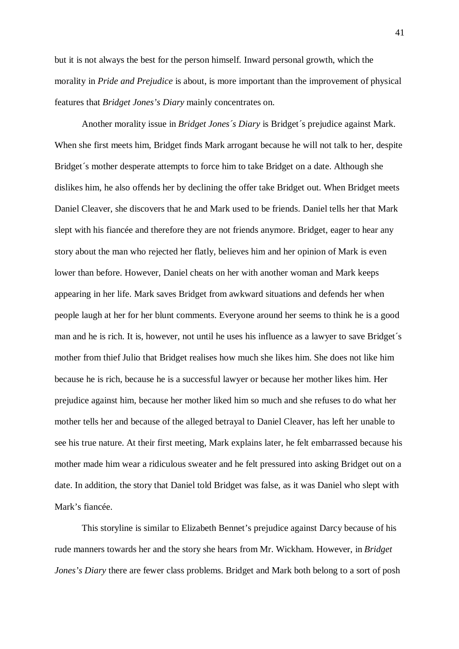but it is not always the best for the person himself. Inward personal growth, which the morality in *Pride and Prejudice* is about, is more important than the improvement of physical features that *Bridget Jones's Diary* mainly concentrates on.

Another morality issue in *Bridget Jones´s Diary* is Bridget´s prejudice against Mark. When she first meets him, Bridget finds Mark arrogant because he will not talk to her, despite Bridget´s mother desperate attempts to force him to take Bridget on a date. Although she dislikes him, he also offends her by declining the offer take Bridget out. When Bridget meets Daniel Cleaver, she discovers that he and Mark used to be friends. Daniel tells her that Mark slept with his fiancée and therefore they are not friends anymore. Bridget, eager to hear any story about the man who rejected her flatly, believes him and her opinion of Mark is even lower than before. However, Daniel cheats on her with another woman and Mark keeps appearing in her life. Mark saves Bridget from awkward situations and defends her when people laugh at her for her blunt comments. Everyone around her seems to think he is a good man and he is rich. It is, however, not until he uses his influence as a lawyer to save Bridget´s mother from thief Julio that Bridget realises how much she likes him. She does not like him because he is rich, because he is a successful lawyer or because her mother likes him. Her prejudice against him, because her mother liked him so much and she refuses to do what her mother tells her and because of the alleged betrayal to Daniel Cleaver, has left her unable to see his true nature. At their first meeting, Mark explains later, he felt embarrassed because his mother made him wear a ridiculous sweater and he felt pressured into asking Bridget out on a date. In addition, the story that Daniel told Bridget was false, as it was Daniel who slept with Mark's fiancée.

This storyline is similar to Elizabeth Bennet's prejudice against Darcy because of his rude manners towards her and the story she hears from Mr. Wickham. However, in *Bridget Jones's Diary* there are fewer class problems. Bridget and Mark both belong to a sort of posh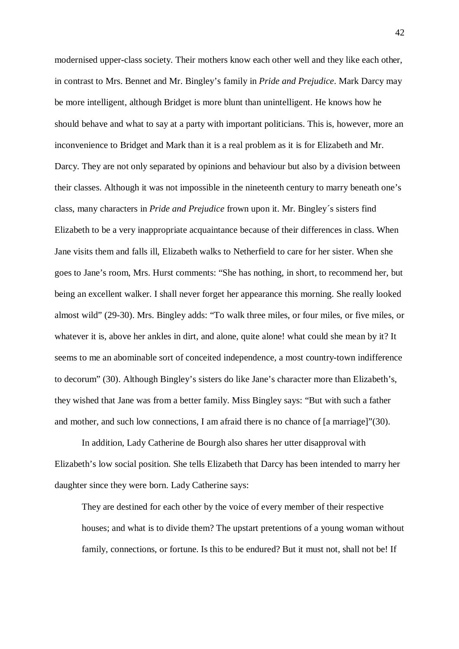modernised upper-class society. Their mothers know each other well and they like each other, in contrast to Mrs. Bennet and Mr. Bingley's family in *Pride and Prejudice*. Mark Darcy may be more intelligent, although Bridget is more blunt than unintelligent. He knows how he should behave and what to say at a party with important politicians. This is, however, more an inconvenience to Bridget and Mark than it is a real problem as it is for Elizabeth and Mr. Darcy. They are not only separated by opinions and behaviour but also by a division between their classes. Although it was not impossible in the nineteenth century to marry beneath one's class, many characters in *Pride and Prejudice* frown upon it. Mr. Bingley´s sisters find Elizabeth to be a very inappropriate acquaintance because of their differences in class. When Jane visits them and falls ill, Elizabeth walks to Netherfield to care for her sister. When she goes to Jane's room, Mrs. Hurst comments: "She has nothing, in short, to recommend her, but being an excellent walker. I shall never forget her appearance this morning. She really looked almost wild" (29-30). Mrs. Bingley adds: "To walk three miles, or four miles, or five miles, or whatever it is, above her ankles in dirt, and alone, quite alone! what could she mean by it? It seems to me an abominable sort of conceited independence, a most country-town indifference to decorum" (30). Although Bingley's sisters do like Jane's character more than Elizabeth's, they wished that Jane was from a better family. Miss Bingley says: "But with such a father and mother, and such low connections, I am afraid there is no chance of [a marriage]"(30).

In addition, Lady Catherine de Bourgh also shares her utter disapproval with Elizabeth's low social position. She tells Elizabeth that Darcy has been intended to marry her daughter since they were born. Lady Catherine says:

They are destined for each other by the voice of every member of their respective houses; and what is to divide them? The upstart pretentions of a young woman without family, connections, or fortune. Is this to be endured? But it must not, shall not be! If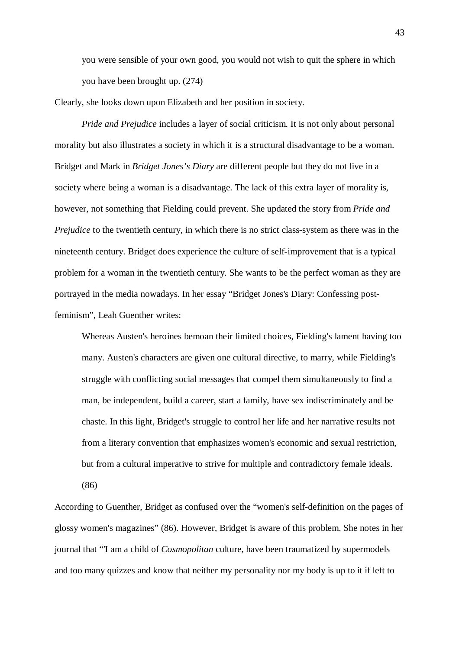you were sensible of your own good, you would not wish to quit the sphere in which you have been brought up. (274)

Clearly, she looks down upon Elizabeth and her position in society.

*Pride and Prejudice* includes a layer of social criticism. It is not only about personal morality but also illustrates a society in which it is a structural disadvantage to be a woman. Bridget and Mark in *Bridget Jones's Diary* are different people but they do not live in a society where being a woman is a disadvantage. The lack of this extra layer of morality is, however, not something that Fielding could prevent. She updated the story from *Pride and Prejudice* to the twentieth century, in which there is no strict class-system as there was in the nineteenth century. Bridget does experience the culture of self-improvement that is a typical problem for a woman in the twentieth century. She wants to be the perfect woman as they are portrayed in the media nowadays. In her essay "Bridget Jones's Diary: Confessing postfeminism", Leah Guenther writes:

Whereas Austen's heroines bemoan their limited choices, Fielding's lament having too many. Austen's characters are given one cultural directive, to marry, while Fielding's struggle with conflicting social messages that compel them simultaneously to find a man, be independent, build a career, start a family, have sex indiscriminately and be chaste. In this light, Bridget's struggle to control her life and her narrative results not from a literary convention that emphasizes women's economic and sexual restriction, but from a cultural imperative to strive for multiple and contradictory female ideals.

(86)

According to Guenther, Bridget as confused over the "women's self-definition on the pages of glossy women's magazines" (86). However, Bridget is aware of this problem. She notes in her journal that "'I am a child of *Cosmopolitan* culture, have been traumatized by supermodels and too many quizzes and know that neither my personality nor my body is up to it if left to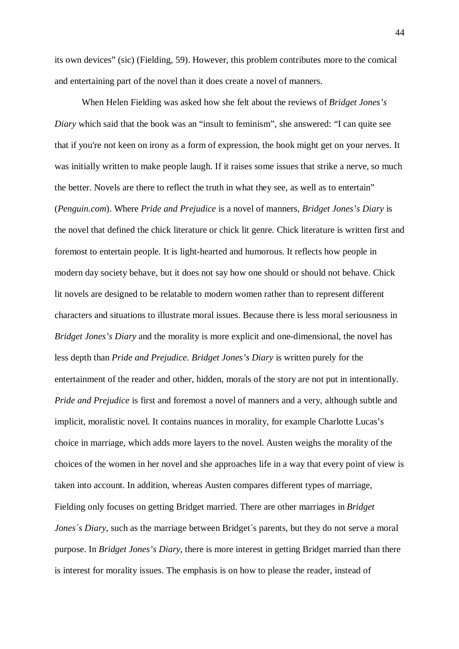its own devices" (sic) (Fielding, 59). However, this problem contributes more to the comical and entertaining part of the novel than it does create a novel of manners.

When Helen Fielding was asked how she felt about the reviews of *Bridget Jones's Diary* which said that the book was an "insult to feminism", she answered: "I can quite see that if you're not keen on irony as a form of expression, the book might get on your nerves. It was initially written to make people laugh. If it raises some issues that strike a nerve, so much the better. Novels are there to reflect the truth in what they see, as well as to entertain" (*Penguin.com*). Where *Pride and Prejudice* is a novel of manners, *Bridget Jones's Diary* is the novel that defined the chick literature or chick lit genre. Chick literature is written first and foremost to entertain people. It is light-hearted and humorous. It reflects how people in modern day society behave, but it does not say how one should or should not behave. Chick lit novels are designed to be relatable to modern women rather than to represent different characters and situations to illustrate moral issues. Because there is less moral seriousness in *Bridget Jones's Diary* and the morality is more explicit and one-dimensional, the novel has less depth than *Pride and Prejudice*. *Bridget Jones's Diary* is written purely for the entertainment of the reader and other, hidden, morals of the story are not put in intentionally. *Pride and Prejudice* is first and foremost a novel of manners and a very, although subtle and implicit, moralistic novel. It contains nuances in morality, for example Charlotte Lucas's choice in marriage, which adds more layers to the novel. Austen weighs the morality of the choices of the women in her novel and she approaches life in a way that every point of view is taken into account. In addition, whereas Austen compares different types of marriage, Fielding only focuses on getting Bridget married. There are other marriages in *Bridget Jones's Diary*, such as the marriage between Bridget's parents, but they do not serve a moral purpose. In *Bridget Jones's Diary*, there is more interest in getting Bridget married than there is interest for morality issues. The emphasis is on how to please the reader, instead of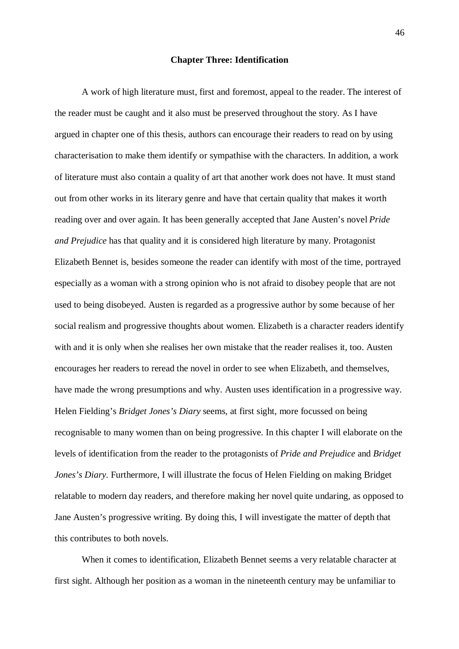## **Chapter Three: Identification**

A work of high literature must, first and foremost, appeal to the reader. The interest of the reader must be caught and it also must be preserved throughout the story. As I have argued in chapter one of this thesis, authors can encourage their readers to read on by using characterisation to make them identify or sympathise with the characters. In addition, a work of literature must also contain a quality of art that another work does not have. It must stand out from other works in its literary genre and have that certain quality that makes it worth reading over and over again. It has been generally accepted that Jane Austen's novel *Pride and Prejudice* has that quality and it is considered high literature by many. Protagonist Elizabeth Bennet is, besides someone the reader can identify with most of the time, portrayed especially as a woman with a strong opinion who is not afraid to disobey people that are not used to being disobeyed. Austen is regarded as a progressive author by some because of her social realism and progressive thoughts about women. Elizabeth is a character readers identify with and it is only when she realises her own mistake that the reader realises it, too. Austen encourages her readers to reread the novel in order to see when Elizabeth, and themselves, have made the wrong presumptions and why. Austen uses identification in a progressive way. Helen Fielding's *Bridget Jones's Diary* seems, at first sight, more focussed on being recognisable to many women than on being progressive. In this chapter I will elaborate on the levels of identification from the reader to the protagonists of *Pride and Prejudice* and *Bridget Jones's Diary*. Furthermore, I will illustrate the focus of Helen Fielding on making Bridget relatable to modern day readers, and therefore making her novel quite undaring, as opposed to Jane Austen's progressive writing. By doing this, I will investigate the matter of depth that this contributes to both novels.

When it comes to identification, Elizabeth Bennet seems a very relatable character at first sight. Although her position as a woman in the nineteenth century may be unfamiliar to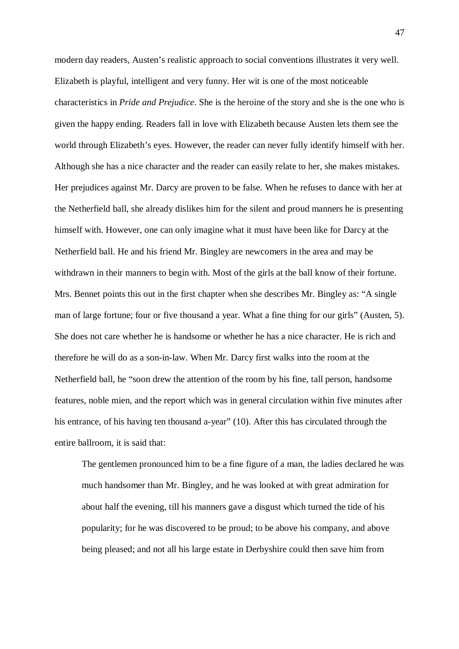modern day readers, Austen's realistic approach to social conventions illustrates it very well. Elizabeth is playful, intelligent and very funny. Her wit is one of the most noticeable characteristics in *Pride and Prejudice*. She is the heroine of the story and she is the one who is given the happy ending. Readers fall in love with Elizabeth because Austen lets them see the world through Elizabeth's eyes. However, the reader can never fully identify himself with her. Although she has a nice character and the reader can easily relate to her, she makes mistakes. Her prejudices against Mr. Darcy are proven to be false. When he refuses to dance with her at the Netherfield ball, she already dislikes him for the silent and proud manners he is presenting himself with. However, one can only imagine what it must have been like for Darcy at the Netherfield ball. He and his friend Mr. Bingley are newcomers in the area and may be withdrawn in their manners to begin with. Most of the girls at the ball know of their fortune. Mrs. Bennet points this out in the first chapter when she describes Mr. Bingley as: "A single man of large fortune; four or five thousand a year. What a fine thing for our girls" (Austen, 5). She does not care whether he is handsome or whether he has a nice character. He is rich and therefore he will do as a son-in-law. When Mr. Darcy first walks into the room at the Netherfield ball, he "soon drew the attention of the room by his fine, tall person, handsome features, noble mien, and the report which was in general circulation within five minutes after his entrance, of his having ten thousand a-year" (10). After this has circulated through the entire ballroom, it is said that:

The gentlemen pronounced him to be a fine figure of a man, the ladies declared he was much handsomer than Mr. Bingley, and he was looked at with great admiration for about half the evening, till his manners gave a disgust which turned the tide of his popularity; for he was discovered to be proud; to be above his company, and above being pleased; and not all his large estate in Derbyshire could then save him from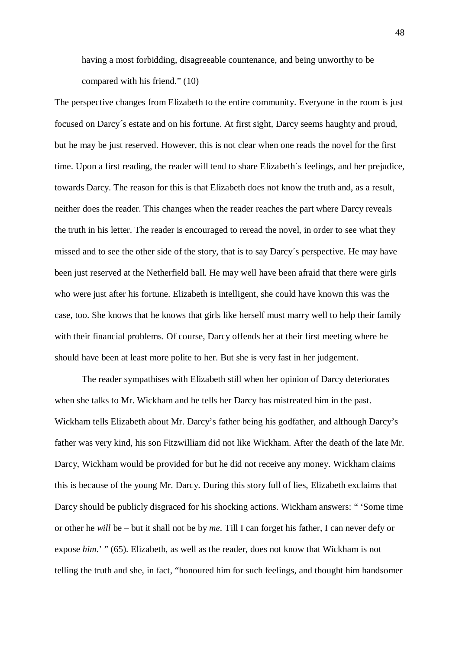having a most forbidding, disagreeable countenance, and being unworthy to be compared with his friend." (10)

The perspective changes from Elizabeth to the entire community. Everyone in the room is just focused on Darcy´s estate and on his fortune. At first sight, Darcy seems haughty and proud, but he may be just reserved. However, this is not clear when one reads the novel for the first time. Upon a first reading, the reader will tend to share Elizabeth´s feelings, and her prejudice, towards Darcy. The reason for this is that Elizabeth does not know the truth and, as a result, neither does the reader. This changes when the reader reaches the part where Darcy reveals the truth in his letter. The reader is encouraged to reread the novel, in order to see what they missed and to see the other side of the story, that is to say Darcy´s perspective. He may have been just reserved at the Netherfield ball. He may well have been afraid that there were girls who were just after his fortune. Elizabeth is intelligent, she could have known this was the case, too. She knows that he knows that girls like herself must marry well to help their family with their financial problems. Of course, Darcy offends her at their first meeting where he should have been at least more polite to her. But she is very fast in her judgement.

The reader sympathises with Elizabeth still when her opinion of Darcy deteriorates when she talks to Mr. Wickham and he tells her Darcy has mistreated him in the past. Wickham tells Elizabeth about Mr. Darcy's father being his godfather, and although Darcy's father was very kind, his son Fitzwilliam did not like Wickham. After the death of the late Mr. Darcy, Wickham would be provided for but he did not receive any money. Wickham claims this is because of the young Mr. Darcy. During this story full of lies, Elizabeth exclaims that Darcy should be publicly disgraced for his shocking actions. Wickham answers: " 'Some time or other he *will* be – but it shall not be by *me*. Till I can forget his father, I can never defy or expose *him*.' " (65). Elizabeth, as well as the reader, does not know that Wickham is not telling the truth and she, in fact, "honoured him for such feelings, and thought him handsomer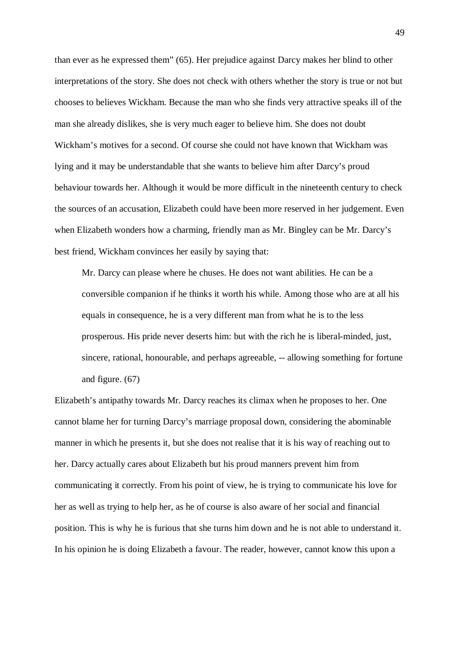than ever as he expressed them" (65). Her prejudice against Darcy makes her blind to other interpretations of the story. She does not check with others whether the story is true or not but chooses to believes Wickham. Because the man who she finds very attractive speaks ill of the man she already dislikes, she is very much eager to believe him. She does not doubt Wickham's motives for a second. Of course she could not have known that Wickham was lying and it may be understandable that she wants to believe him after Darcy's proud behaviour towards her. Although it would be more difficult in the nineteenth century to check the sources of an accusation, Elizabeth could have been more reserved in her judgement. Even when Elizabeth wonders how a charming, friendly man as Mr. Bingley can be Mr. Darcy's best friend, Wickham convinces her easily by saying that:

Mr. Darcy can please where he chuses. He does not want abilities. He can be a conversible companion if he thinks it worth his while. Among those who are at all his equals in consequence, he is a very different man from what he is to the less prosperous. His pride never deserts him: but with the rich he is liberal-minded, just, sincere, rational, honourable, and perhaps agreeable, -- allowing something for fortune and figure. (67)

Elizabeth's antipathy towards Mr. Darcy reaches its climax when he proposes to her. One cannot blame her for turning Darcy's marriage proposal down, considering the abominable manner in which he presents it, but she does not realise that it is his way of reaching out to her. Darcy actually cares about Elizabeth but his proud manners prevent him from communicating it correctly. From his point of view, he is trying to communicate his love for her as well as trying to help her, as he of course is also aware of her social and financial position. This is why he is furious that she turns him down and he is not able to understand it. In his opinion he is doing Elizabeth a favour. The reader, however, cannot know this upon a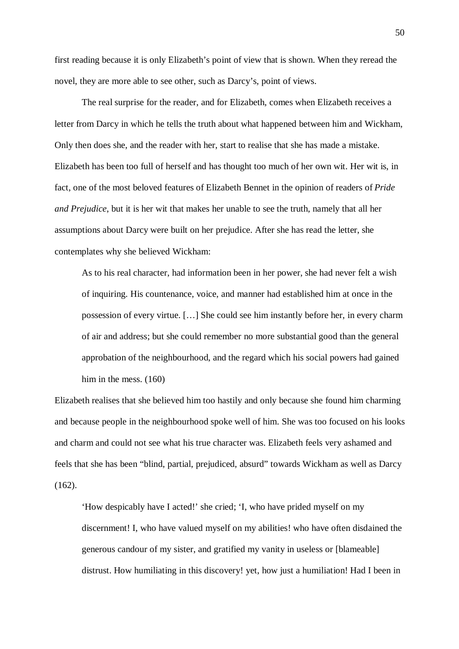first reading because it is only Elizabeth's point of view that is shown. When they reread the novel, they are more able to see other, such as Darcy's, point of views.

The real surprise for the reader, and for Elizabeth, comes when Elizabeth receives a letter from Darcy in which he tells the truth about what happened between him and Wickham, Only then does she, and the reader with her, start to realise that she has made a mistake. Elizabeth has been too full of herself and has thought too much of her own wit. Her wit is, in fact, one of the most beloved features of Elizabeth Bennet in the opinion of readers of *Pride and Prejudice*, but it is her wit that makes her unable to see the truth, namely that all her assumptions about Darcy were built on her prejudice. After she has read the letter, she contemplates why she believed Wickham:

As to his real character, had information been in her power, she had never felt a wish of inquiring. His countenance, voice, and manner had established him at once in the possession of every virtue. […] She could see him instantly before her, in every charm of air and address; but she could remember no more substantial good than the general approbation of the neighbourhood, and the regard which his social powers had gained him in the mess. (160)

Elizabeth realises that she believed him too hastily and only because she found him charming and because people in the neighbourhood spoke well of him. She was too focused on his looks and charm and could not see what his true character was. Elizabeth feels very ashamed and feels that she has been "blind, partial, prejudiced, absurd" towards Wickham as well as Darcy  $(162)$ .

'How despicably have I acted!' she cried; 'I, who have prided myself on my discernment! I, who have valued myself on my abilities! who have often disdained the generous candour of my sister, and gratified my vanity in useless or [blameable] distrust. How humiliating in this discovery! yet, how just a humiliation! Had I been in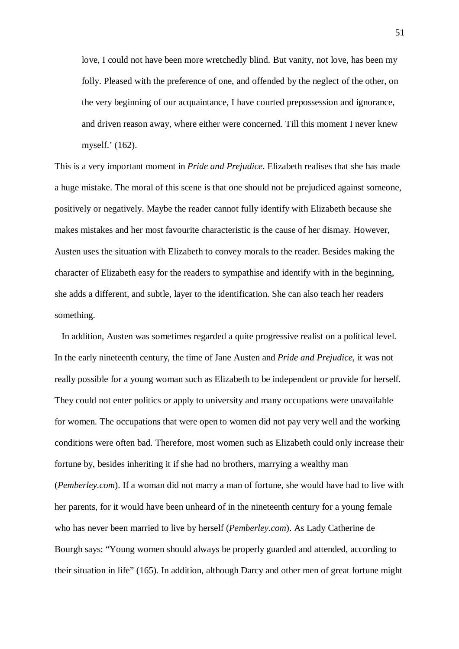love, I could not have been more wretchedly blind. But vanity, not love, has been my folly. Pleased with the preference of one, and offended by the neglect of the other, on the very beginning of our acquaintance, I have courted prepossession and ignorance, and driven reason away, where either were concerned. Till this moment I never knew myself.' (162).

This is a very important moment in *Pride and Prejudice*. Elizabeth realises that she has made a huge mistake. The moral of this scene is that one should not be prejudiced against someone, positively or negatively. Maybe the reader cannot fully identify with Elizabeth because she makes mistakes and her most favourite characteristic is the cause of her dismay. However, Austen uses the situation with Elizabeth to convey morals to the reader. Besides making the character of Elizabeth easy for the readers to sympathise and identify with in the beginning, she adds a different, and subtle, layer to the identification. She can also teach her readers something.

In addition, Austen was sometimes regarded a quite progressive realist on a political level. In the early nineteenth century, the time of Jane Austen and *Pride and Prejudice*, it was not really possible for a young woman such as Elizabeth to be independent or provide for herself. They could not enter politics or apply to university and many occupations were unavailable for women. The occupations that were open to women did not pay very well and the working conditions were often bad. Therefore, most women such as Elizabeth could only increase their fortune by, besides inheriting it if she had no brothers, marrying a wealthy man (*Pemberley.com*). If a woman did not marry a man of fortune, she would have had to live with her parents, for it would have been unheard of in the nineteenth century for a young female who has never been married to live by herself (*Pemberley.com*). As Lady Catherine de Bourgh says: "Young women should always be properly guarded and attended, according to their situation in life" (165). In addition, although Darcy and other men of great fortune might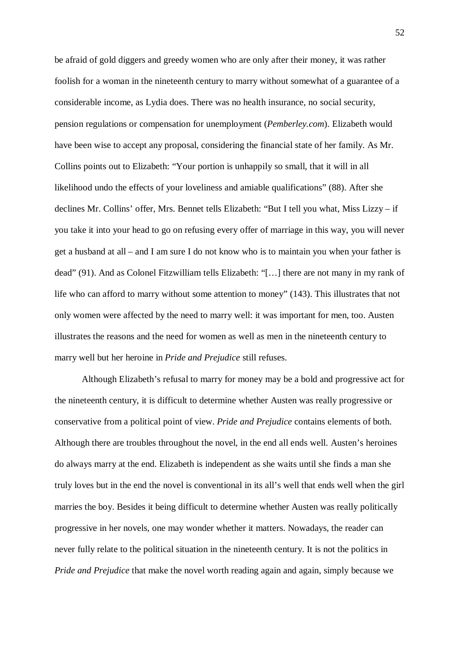be afraid of gold diggers and greedy women who are only after their money, it was rather foolish for a woman in the nineteenth century to marry without somewhat of a guarantee of a considerable income, as Lydia does. There was no health insurance, no social security, pension regulations or compensation for unemployment (*Pemberley.com*). Elizabeth would have been wise to accept any proposal, considering the financial state of her family. As Mr. Collins points out to Elizabeth: "Your portion is unhappily so small, that it will in all likelihood undo the effects of your loveliness and amiable qualifications" (88). After she declines Mr. Collins' offer, Mrs. Bennet tells Elizabeth: "But I tell you what, Miss Lizzy – if you take it into your head to go on refusing every offer of marriage in this way, you will never get a husband at all – and I am sure I do not know who is to maintain you when your father is dead" (91). And as Colonel Fitzwilliam tells Elizabeth: "[…] there are not many in my rank of life who can afford to marry without some attention to money" (143). This illustrates that not only women were affected by the need to marry well: it was important for men, too. Austen illustrates the reasons and the need for women as well as men in the nineteenth century to marry well but her heroine in *Pride and Prejudice* still refuses.

Although Elizabeth's refusal to marry for money may be a bold and progressive act for the nineteenth century, it is difficult to determine whether Austen was really progressive or conservative from a political point of view. *Pride and Prejudice* contains elements of both. Although there are troubles throughout the novel, in the end all ends well. Austen's heroines do always marry at the end. Elizabeth is independent as she waits until she finds a man she truly loves but in the end the novel is conventional in its all's well that ends well when the girl marries the boy. Besides it being difficult to determine whether Austen was really politically progressive in her novels, one may wonder whether it matters. Nowadays, the reader can never fully relate to the political situation in the nineteenth century. It is not the politics in *Pride and Prejudice* that make the novel worth reading again and again, simply because we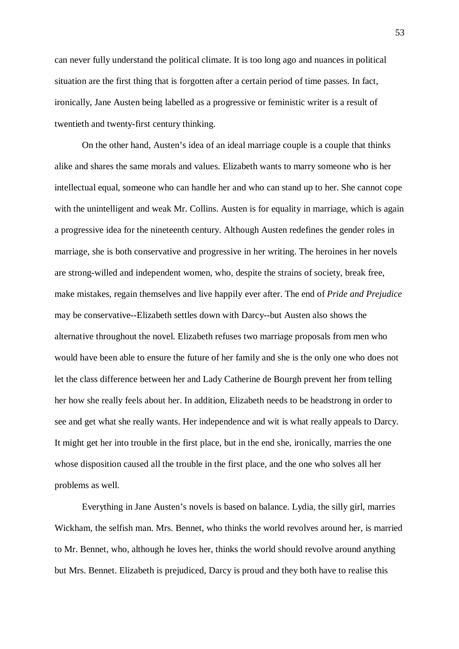can never fully understand the political climate. It is too long ago and nuances in political situation are the first thing that is forgotten after a certain period of time passes. In fact, ironically, Jane Austen being labelled as a progressive or feministic writer is a result of twentieth and twenty-first century thinking.

On the other hand, Austen's idea of an ideal marriage couple is a couple that thinks alike and shares the same morals and values. Elizabeth wants to marry someone who is her intellectual equal, someone who can handle her and who can stand up to her. She cannot cope with the unintelligent and weak Mr. Collins. Austen is for equality in marriage, which is again a progressive idea for the nineteenth century. Although Austen redefines the gender roles in marriage, she is both conservative and progressive in her writing. The heroines in her novels are strong-willed and independent women, who, despite the strains of society, break free, make mistakes, regain themselves and live happily ever after. The end of *Pride and Prejudice* may be conservative--Elizabeth settles down with Darcy--but Austen also shows the alternative throughout the novel. Elizabeth refuses two marriage proposals from men who would have been able to ensure the future of her family and she is the only one who does not let the class difference between her and Lady Catherine de Bourgh prevent her from telling her how she really feels about her. In addition, Elizabeth needs to be headstrong in order to see and get what she really wants. Her independence and wit is what really appeals to Darcy. It might get her into trouble in the first place, but in the end she, ironically, marries the one whose disposition caused all the trouble in the first place, and the one who solves all her problems as well.

Everything in Jane Austen's novels is based on balance. Lydia, the silly girl, marries Wickham, the selfish man. Mrs. Bennet, who thinks the world revolves around her, is married to Mr. Bennet, who, although he loves her, thinks the world should revolve around anything but Mrs. Bennet. Elizabeth is prejudiced, Darcy is proud and they both have to realise this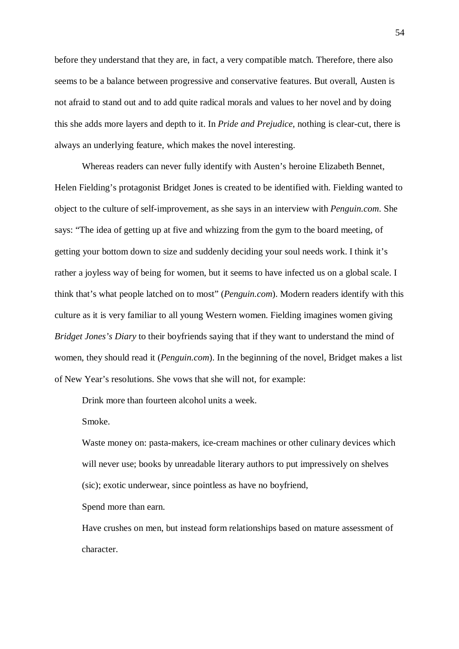before they understand that they are, in fact, a very compatible match. Therefore, there also seems to be a balance between progressive and conservative features. But overall, Austen is not afraid to stand out and to add quite radical morals and values to her novel and by doing this she adds more layers and depth to it. In *Pride and Prejudice*, nothing is clear-cut, there is always an underlying feature, which makes the novel interesting.

Whereas readers can never fully identify with Austen's heroine Elizabeth Bennet, Helen Fielding's protagonist Bridget Jones is created to be identified with. Fielding wanted to object to the culture of self-improvement, as she says in an interview with *Penguin.com*. She says: "The idea of getting up at five and whizzing from the gym to the board meeting, of getting your bottom down to size and suddenly deciding your soul needs work. I think it's rather a joyless way of being for women, but it seems to have infected us on a global scale. I think that's what people latched on to most" (*Penguin.com*). Modern readers identify with this culture as it is very familiar to all young Western women. Fielding imagines women giving *Bridget Jones's Diary* to their boyfriends saying that if they want to understand the mind of women, they should read it (*Penguin.com*). In the beginning of the novel, Bridget makes a list of New Year's resolutions. She vows that she will not, for example:

Drink more than fourteen alcohol units a week.

Smoke.

Waste money on: pasta-makers, ice-cream machines or other culinary devices which will never use; books by unreadable literary authors to put impressively on shelves (sic); exotic underwear, since pointless as have no boyfriend,

Spend more than earn.

Have crushes on men, but instead form relationships based on mature assessment of character.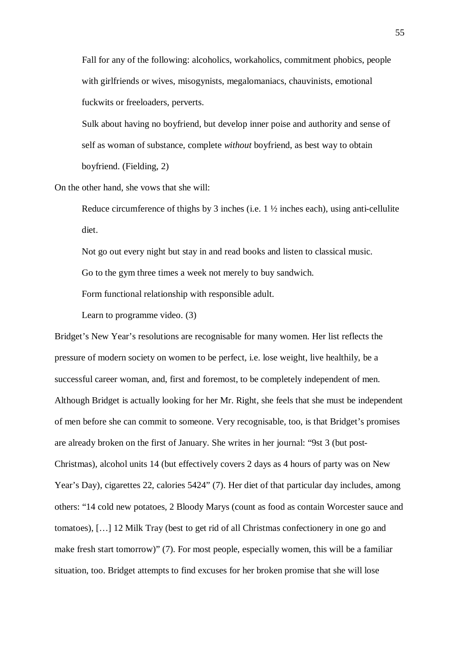Fall for any of the following: alcoholics, workaholics, commitment phobics, people with girlfriends or wives, misogynists, megalomaniacs, chauvinists, emotional fuckwits or freeloaders, perverts.

Sulk about having no boyfriend, but develop inner poise and authority and sense of self as woman of substance, complete *without* boyfriend, as best way to obtain boyfriend. (Fielding, 2)

On the other hand, she vows that she will:

Reduce circumference of thighs by 3 inches (i.e. 1  $\frac{1}{2}$  inches each), using anti-cellulite diet.

Not go out every night but stay in and read books and listen to classical music.

Go to the gym three times a week not merely to buy sandwich.

Form functional relationship with responsible adult.

Learn to programme video. (3)

Bridget's New Year's resolutions are recognisable for many women. Her list reflects the pressure of modern society on women to be perfect, i.e. lose weight, live healthily, be a successful career woman, and, first and foremost, to be completely independent of men. Although Bridget is actually looking for her Mr. Right, she feels that she must be independent of men before she can commit to someone. Very recognisable, too, is that Bridget's promises are already broken on the first of January. She writes in her journal: "9st 3 (but post-Christmas), alcohol units 14 (but effectively covers 2 days as 4 hours of party was on New Year's Day), cigarettes 22, calories 5424" (7). Her diet of that particular day includes, among others: "14 cold new potatoes, 2 Bloody Marys (count as food as contain Worcester sauce and tomatoes), […] 12 Milk Tray (best to get rid of all Christmas confectionery in one go and make fresh start tomorrow)" (7). For most people, especially women, this will be a familiar situation, too. Bridget attempts to find excuses for her broken promise that she will lose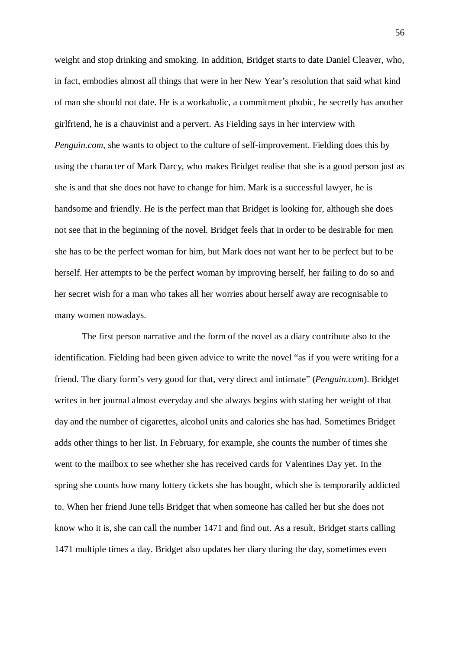weight and stop drinking and smoking. In addition, Bridget starts to date Daniel Cleaver, who, in fact, embodies almost all things that were in her New Year's resolution that said what kind of man she should not date. He is a workaholic, a commitment phobic, he secretly has another girlfriend, he is a chauvinist and a pervert. As Fielding says in her interview with *Penguin.com*, she wants to object to the culture of self-improvement. Fielding does this by using the character of Mark Darcy, who makes Bridget realise that she is a good person just as she is and that she does not have to change for him. Mark is a successful lawyer, he is handsome and friendly. He is the perfect man that Bridget is looking for, although she does not see that in the beginning of the novel. Bridget feels that in order to be desirable for men she has to be the perfect woman for him, but Mark does not want her to be perfect but to be herself. Her attempts to be the perfect woman by improving herself, her failing to do so and her secret wish for a man who takes all her worries about herself away are recognisable to many women nowadays.

The first person narrative and the form of the novel as a diary contribute also to the identification. Fielding had been given advice to write the novel "as if you were writing for a friend. The diary form's very good for that, very direct and intimate" (*Penguin.com*). Bridget writes in her journal almost everyday and she always begins with stating her weight of that day and the number of cigarettes, alcohol units and calories she has had. Sometimes Bridget adds other things to her list. In February, for example, she counts the number of times she went to the mailbox to see whether she has received cards for Valentines Day yet. In the spring she counts how many lottery tickets she has bought, which she is temporarily addicted to. When her friend June tells Bridget that when someone has called her but she does not know who it is, she can call the number 1471 and find out. As a result, Bridget starts calling 1471 multiple times a day. Bridget also updates her diary during the day, sometimes even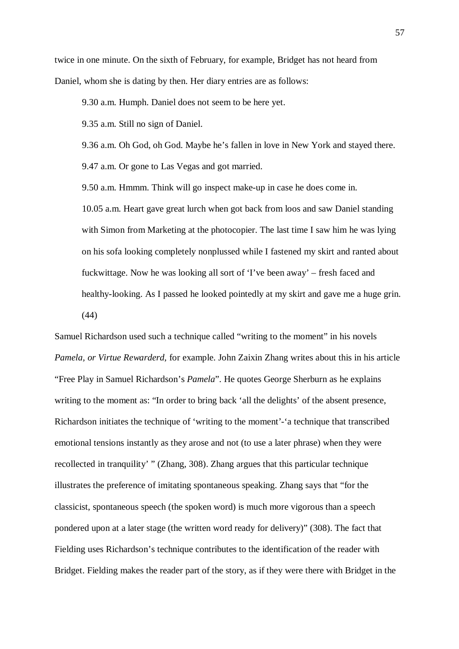twice in one minute. On the sixth of February, for example, Bridget has not heard from Daniel, whom she is dating by then. Her diary entries are as follows:

9.30 a.m. Humph. Daniel does not seem to be here yet.

9.35 a.m. Still no sign of Daniel.

9.36 a.m. Oh God, oh God. Maybe he's fallen in love in New York and stayed there.

9.47 a.m. Or gone to Las Vegas and got married.

9.50 a.m. Hmmm. Think will go inspect make-up in case he does come in.

10.05 a.m. Heart gave great lurch when got back from loos and saw Daniel standing with Simon from Marketing at the photocopier. The last time I saw him he was lying on his sofa looking completely nonplussed while I fastened my skirt and ranted about fuckwittage. Now he was looking all sort of 'I've been away' – fresh faced and healthy-looking. As I passed he looked pointedly at my skirt and gave me a huge grin. (44)

Samuel Richardson used such a technique called "writing to the moment" in his novels *Pamela, or Virtue Rewarderd*, for example. John Zaixin Zhang writes about this in his article "Free Play in Samuel Richardson's *Pamela*". He quotes George Sherburn as he explains writing to the moment as: "In order to bring back 'all the delights' of the absent presence, Richardson initiates the technique of 'writing to the moment'-'a technique that transcribed emotional tensions instantly as they arose and not (to use a later phrase) when they were recollected in tranquility' " (Zhang, 308). Zhang argues that this particular technique illustrates the preference of imitating spontaneous speaking. Zhang says that "for the classicist, spontaneous speech (the spoken word) is much more vigorous than a speech pondered upon at a later stage (the written word ready for delivery)" (308). The fact that Fielding uses Richardson's technique contributes to the identification of the reader with Bridget. Fielding makes the reader part of the story, as if they were there with Bridget in the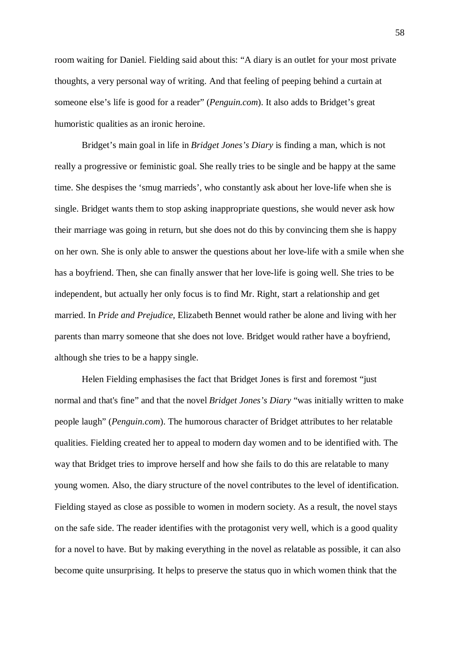room waiting for Daniel. Fielding said about this: "A diary is an outlet for your most private thoughts, a very personal way of writing. And that feeling of peeping behind a curtain at someone else's life is good for a reader" (*Penguin.com*). It also adds to Bridget's great humoristic qualities as an ironic heroine.

Bridget's main goal in life in *Bridget Jones's Diary* is finding a man, which is not really a progressive or feministic goal. She really tries to be single and be happy at the same time. She despises the 'smug marrieds', who constantly ask about her love-life when she is single. Bridget wants them to stop asking inappropriate questions, she would never ask how their marriage was going in return, but she does not do this by convincing them she is happy on her own. She is only able to answer the questions about her love-life with a smile when she has a boyfriend. Then, she can finally answer that her love-life is going well. She tries to be independent, but actually her only focus is to find Mr. Right, start a relationship and get married. In *Pride and Prejudice*, Elizabeth Bennet would rather be alone and living with her parents than marry someone that she does not love. Bridget would rather have a boyfriend, although she tries to be a happy single.

Helen Fielding emphasises the fact that Bridget Jones is first and foremost "just normal and that's fine" and that the novel *Bridget Jones's Diary* "was initially written to make people laugh" (*Penguin.com*). The humorous character of Bridget attributes to her relatable qualities. Fielding created her to appeal to modern day women and to be identified with. The way that Bridget tries to improve herself and how she fails to do this are relatable to many young women. Also, the diary structure of the novel contributes to the level of identification. Fielding stayed as close as possible to women in modern society. As a result, the novel stays on the safe side. The reader identifies with the protagonist very well, which is a good quality for a novel to have. But by making everything in the novel as relatable as possible, it can also become quite unsurprising. It helps to preserve the status quo in which women think that the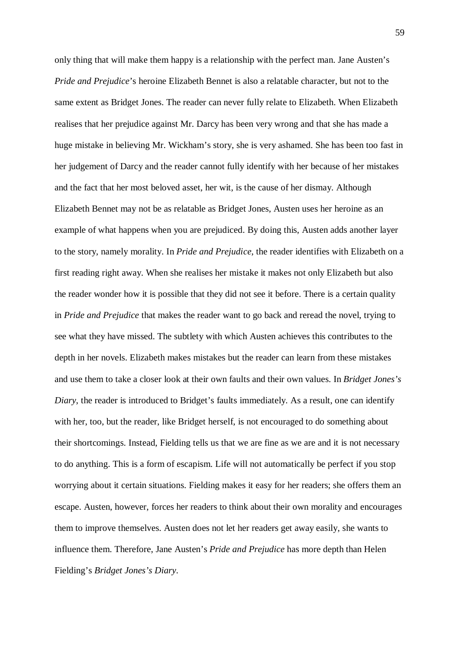only thing that will make them happy is a relationship with the perfect man. Jane Austen's *Pride and Prejudice*'s heroine Elizabeth Bennet is also a relatable character, but not to the same extent as Bridget Jones. The reader can never fully relate to Elizabeth. When Elizabeth realises that her prejudice against Mr. Darcy has been very wrong and that she has made a huge mistake in believing Mr. Wickham's story, she is very ashamed. She has been too fast in her judgement of Darcy and the reader cannot fully identify with her because of her mistakes and the fact that her most beloved asset, her wit, is the cause of her dismay. Although Elizabeth Bennet may not be as relatable as Bridget Jones, Austen uses her heroine as an example of what happens when you are prejudiced. By doing this, Austen adds another layer to the story, namely morality. In *Pride and Prejudice*, the reader identifies with Elizabeth on a first reading right away. When she realises her mistake it makes not only Elizabeth but also the reader wonder how it is possible that they did not see it before. There is a certain quality in *Pride and Prejudice* that makes the reader want to go back and reread the novel, trying to see what they have missed. The subtlety with which Austen achieves this contributes to the depth in her novels. Elizabeth makes mistakes but the reader can learn from these mistakes and use them to take a closer look at their own faults and their own values. In *Bridget Jones's Diary*, the reader is introduced to Bridget's faults immediately. As a result, one can identify with her, too, but the reader, like Bridget herself, is not encouraged to do something about their shortcomings. Instead, Fielding tells us that we are fine as we are and it is not necessary to do anything. This is a form of escapism. Life will not automatically be perfect if you stop worrying about it certain situations. Fielding makes it easy for her readers; she offers them an escape. Austen, however, forces her readers to think about their own morality and encourages them to improve themselves. Austen does not let her readers get away easily, she wants to influence them. Therefore, Jane Austen's *Pride and Prejudice* has more depth than Helen Fielding's *Bridget Jones's Diary*.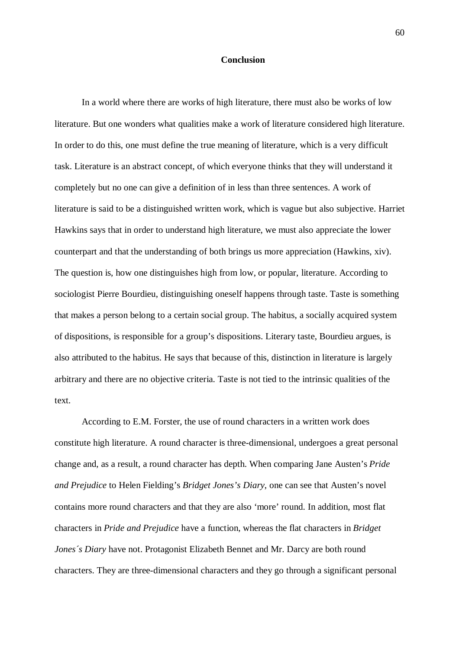## **Conclusion**

In a world where there are works of high literature, there must also be works of low literature. But one wonders what qualities make a work of literature considered high literature. In order to do this, one must define the true meaning of literature, which is a very difficult task. Literature is an abstract concept, of which everyone thinks that they will understand it completely but no one can give a definition of in less than three sentences. A work of literature is said to be a distinguished written work, which is vague but also subjective. Harriet Hawkins says that in order to understand high literature, we must also appreciate the lower counterpart and that the understanding of both brings us more appreciation (Hawkins, xiv). The question is, how one distinguishes high from low, or popular, literature. According to sociologist Pierre Bourdieu, distinguishing oneself happens through taste. Taste is something that makes a person belong to a certain social group. The habitus, a socially acquired system of dispositions, is responsible for a group's dispositions. Literary taste, Bourdieu argues, is also attributed to the habitus. He says that because of this, distinction in literature is largely arbitrary and there are no objective criteria. Taste is not tied to the intrinsic qualities of the text.

According to E.M. Forster, the use of round characters in a written work does constitute high literature. A round character is three-dimensional, undergoes a great personal change and, as a result, a round character has depth. When comparing Jane Austen's *Pride and Prejudice* to Helen Fielding's *Bridget Jones's Diary*, one can see that Austen's novel contains more round characters and that they are also 'more' round. In addition, most flat characters in *Pride and Prejudice* have a function, whereas the flat characters in *Bridget Jones's Diary* have not. Protagonist Elizabeth Bennet and Mr. Darcy are both round characters. They are three-dimensional characters and they go through a significant personal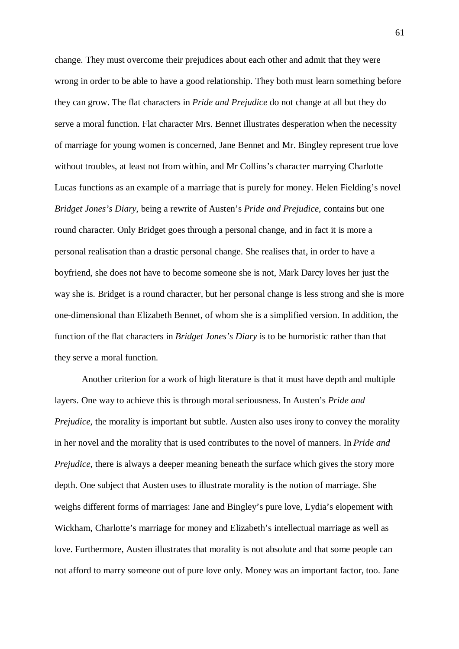change. They must overcome their prejudices about each other and admit that they were wrong in order to be able to have a good relationship. They both must learn something before they can grow. The flat characters in *Pride and Prejudice* do not change at all but they do serve a moral function. Flat character Mrs. Bennet illustrates desperation when the necessity of marriage for young women is concerned, Jane Bennet and Mr. Bingley represent true love without troubles, at least not from within, and Mr Collins's character marrying Charlotte Lucas functions as an example of a marriage that is purely for money. Helen Fielding's novel *Bridget Jones's Diary*, being a rewrite of Austen's *Pride and Prejudice*, contains but one round character. Only Bridget goes through a personal change, and in fact it is more a personal realisation than a drastic personal change. She realises that, in order to have a boyfriend, she does not have to become someone she is not, Mark Darcy loves her just the way she is. Bridget is a round character, but her personal change is less strong and she is more one-dimensional than Elizabeth Bennet, of whom she is a simplified version. In addition, the function of the flat characters in *Bridget Jones's Diary* is to be humoristic rather than that they serve a moral function.

Another criterion for a work of high literature is that it must have depth and multiple layers. One way to achieve this is through moral seriousness. In Austen's *Pride and Prejudice*, the morality is important but subtle. Austen also uses irony to convey the morality in her novel and the morality that is used contributes to the novel of manners. In *Pride and Prejudice*, there is always a deeper meaning beneath the surface which gives the story more depth. One subject that Austen uses to illustrate morality is the notion of marriage. She weighs different forms of marriages: Jane and Bingley's pure love, Lydia's elopement with Wickham, Charlotte's marriage for money and Elizabeth's intellectual marriage as well as love. Furthermore, Austen illustrates that morality is not absolute and that some people can not afford to marry someone out of pure love only. Money was an important factor, too. Jane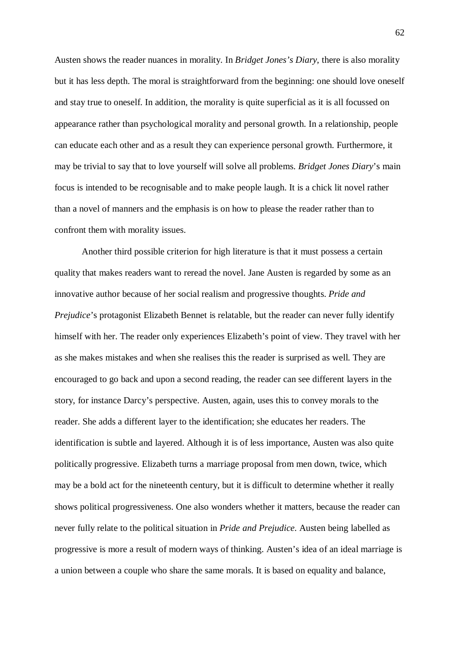Austen shows the reader nuances in morality. In *Bridget Jones's Diary*, there is also morality but it has less depth. The moral is straightforward from the beginning: one should love oneself and stay true to oneself. In addition, the morality is quite superficial as it is all focussed on appearance rather than psychological morality and personal growth. In a relationship, people can educate each other and as a result they can experience personal growth. Furthermore, it may be trivial to say that to love yourself will solve all problems. *Bridget Jones Diary*'s main focus is intended to be recognisable and to make people laugh. It is a chick lit novel rather than a novel of manners and the emphasis is on how to please the reader rather than to confront them with morality issues.

Another third possible criterion for high literature is that it must possess a certain quality that makes readers want to reread the novel. Jane Austen is regarded by some as an innovative author because of her social realism and progressive thoughts. *Pride and Prejudice*'s protagonist Elizabeth Bennet is relatable, but the reader can never fully identify himself with her. The reader only experiences Elizabeth's point of view. They travel with her as she makes mistakes and when she realises this the reader is surprised as well. They are encouraged to go back and upon a second reading, the reader can see different layers in the story, for instance Darcy's perspective. Austen, again, uses this to convey morals to the reader. She adds a different layer to the identification; she educates her readers. The identification is subtle and layered. Although it is of less importance, Austen was also quite politically progressive. Elizabeth turns a marriage proposal from men down, twice, which may be a bold act for the nineteenth century, but it is difficult to determine whether it really shows political progressiveness. One also wonders whether it matters, because the reader can never fully relate to the political situation in *Pride and Prejudice*. Austen being labelled as progressive is more a result of modern ways of thinking. Austen's idea of an ideal marriage is a union between a couple who share the same morals. It is based on equality and balance,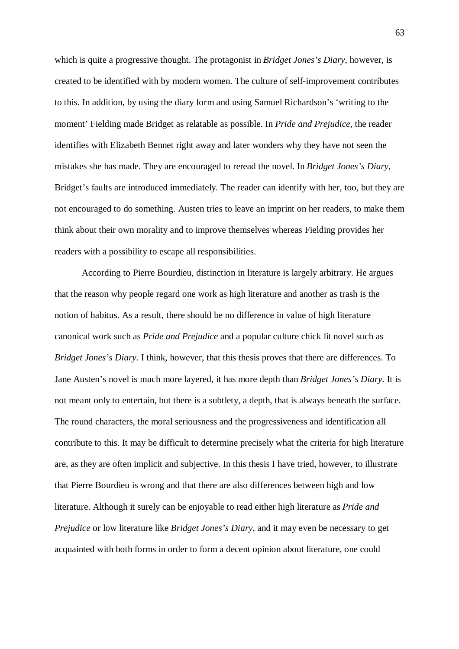which is quite a progressive thought. The protagonist in *Bridget Jones's Diary*, however, is created to be identified with by modern women. The culture of self-improvement contributes to this. In addition, by using the diary form and using Samuel Richardson's 'writing to the moment' Fielding made Bridget as relatable as possible. In *Pride and Prejudice*, the reader identifies with Elizabeth Bennet right away and later wonders why they have not seen the mistakes she has made. They are encouraged to reread the novel. In *Bridget Jones's Diary*, Bridget's faults are introduced immediately. The reader can identify with her, too, but they are not encouraged to do something. Austen tries to leave an imprint on her readers, to make them think about their own morality and to improve themselves whereas Fielding provides her readers with a possibility to escape all responsibilities.

According to Pierre Bourdieu, distinction in literature is largely arbitrary. He argues that the reason why people regard one work as high literature and another as trash is the notion of habitus. As a result, there should be no difference in value of high literature canonical work such as *Pride and Prejudice* and a popular culture chick lit novel such as *Bridget Jones's Diary*. I think, however, that this thesis proves that there are differences. To Jane Austen's novel is much more layered, it has more depth than *Bridget Jones's Diary*. It is not meant only to entertain, but there is a subtlety, a depth, that is always beneath the surface. The round characters, the moral seriousness and the progressiveness and identification all contribute to this. It may be difficult to determine precisely what the criteria for high literature are, as they are often implicit and subjective. In this thesis I have tried, however, to illustrate that Pierre Bourdieu is wrong and that there are also differences between high and low literature. Although it surely can be enjoyable to read either high literature as *Pride and Prejudice* or low literature like *Bridget Jones's Diary*, and it may even be necessary to get acquainted with both forms in order to form a decent opinion about literature, one could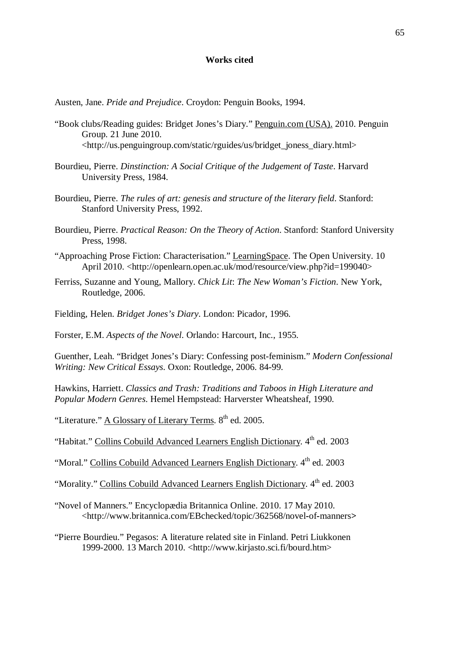## **Works cited**

Austen, Jane. *Pride and Prejudice*. Croydon: Penguin Books, 1994.

- "Book clubs/Reading guides: Bridget Jones's Diary." Penguin.com (USA). 2010. Penguin Group. 21 June 2010. <http://us.penguingroup.com/static/rguides/us/bridget\_joness\_diary.html>
- Bourdieu, Pierre. *Dinstinction: A Social Critique of the Judgement of Taste*. Harvard University Press, 1984.
- Bourdieu, Pierre. *The rules of art: genesis and structure of the literary field*. Stanford: Stanford University Press, 1992.
- Bourdieu, Pierre. *Practical Reason: On the Theory of Action*. Stanford: Stanford University Press, 1998.
- "Approaching Prose Fiction: Characterisation." LearningSpace. The Open University. 10 April 2010. <http://openlearn.open.ac.uk/mod/resource/view.php?id=199040>
- Ferriss, Suzanne and Young, Mallory. *Chick Lit*: *The New Woman's Fiction*. New York, Routledge, 2006.
- Fielding, Helen. *Bridget Jones's Diary*. London: Picador, 1996.

Forster, E.M. *Aspects of the Novel*. Orlando: Harcourt, Inc., 1955.

Guenther, Leah. "Bridget Jones's Diary: Confessing post-feminism." *Modern Confessional Writing: New Critical Essays*. Oxon: Routledge, 2006. 84-99.

Hawkins, Harriett. *Classics and Trash: Traditions and Taboos in High Literature and Popular Modern Genres*. Hemel Hempstead: Harverster Wheatsheaf, 1990.

"Literature." A Glossary of Literary Terms.  $8<sup>th</sup>$  ed. 2005.

"Habitat." Collins Cobuild Advanced Learners English Dictionary. 4<sup>th</sup> ed. 2003

"Moral." Collins Cobuild Advanced Learners English Dictionary. 4<sup>th</sup> ed. 2003

"Morality." Collins Cobuild Advanced Learners English Dictionary. 4th ed. 2003

"Novel of Manners." Encyclopædia Britannica Online. 2010. 17 May 2010. <http://www.britannica.com/EBchecked/topic/362568/novel**-**of**-**manners**>**

"Pierre Bourdieu." Pegasos: A literature related site in Finland. Petri Liukkonen 1999-2000. 13 March 2010. <http://www.kirjasto.sci.fi/bourd.htm>